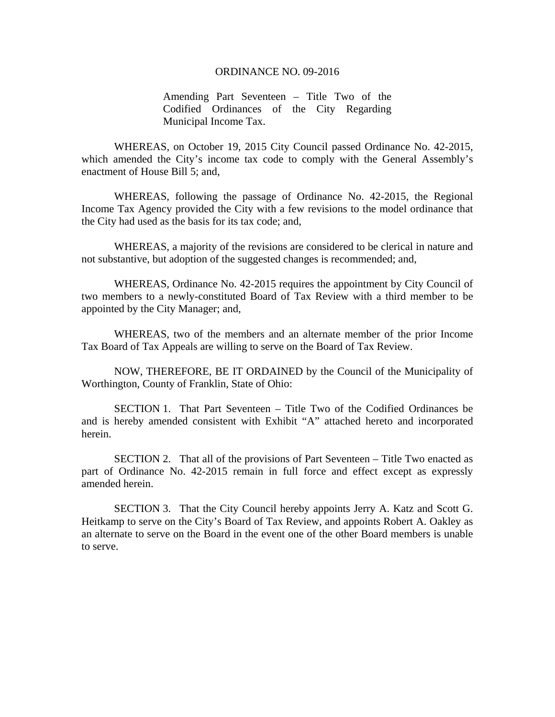#### ORDINANCE NO. 09-2016

Amending Part Seventeen – Title Two of the Codified Ordinances of the City Regarding Municipal Income Tax.

WHEREAS, on October 19, 2015 City Council passed Ordinance No. 42-2015, which amended the City's income tax code to comply with the General Assembly's enactment of House Bill 5; and,

WHEREAS, following the passage of Ordinance No. 42-2015, the Regional Income Tax Agency provided the City with a few revisions to the model ordinance that the City had used as the basis for its tax code; and,

WHEREAS, a majority of the revisions are considered to be clerical in nature and not substantive, but adoption of the suggested changes is recommended; and,

WHEREAS, Ordinance No. 42-2015 requires the appointment by City Council of two members to a newly-constituted Board of Tax Review with a third member to be appointed by the City Manager; and,

WHEREAS, two of the members and an alternate member of the prior Income Tax Board of Tax Appeals are willing to serve on the Board of Tax Review.

 NOW, THEREFORE, BE IT ORDAINED by the Council of the Municipality of Worthington, County of Franklin, State of Ohio:

 SECTION 1. That Part Seventeen – Title Two of the Codified Ordinances be and is hereby amended consistent with Exhibit "A" attached hereto and incorporated herein.

 SECTION 2. That all of the provisions of Part Seventeen – Title Two enacted as part of Ordinance No. 42-2015 remain in full force and effect except as expressly amended herein.

 SECTION 3. That the City Council hereby appoints Jerry A. Katz and Scott G. Heitkamp to serve on the City's Board of Tax Review, and appoints Robert A. Oakley as an alternate to serve on the Board in the event one of the other Board members is unable to serve.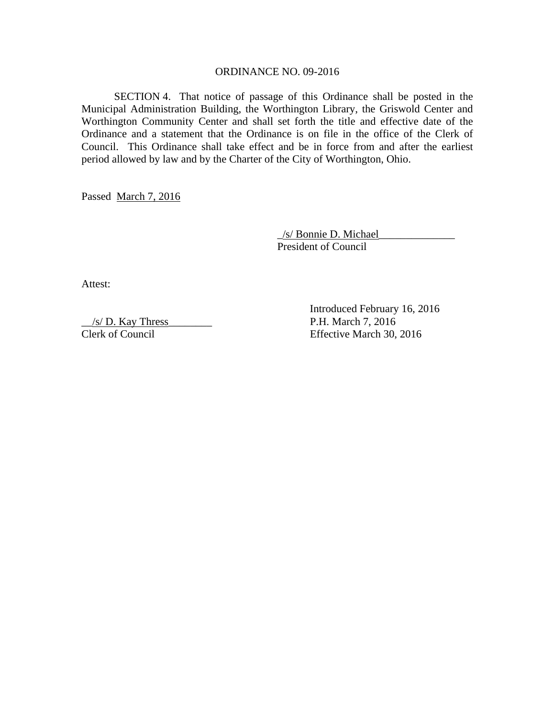#### ORDINANCE NO. 09-2016

 SECTION 4. That notice of passage of this Ordinance shall be posted in the Municipal Administration Building, the Worthington Library, the Griswold Center and Worthington Community Center and shall set forth the title and effective date of the Ordinance and a statement that the Ordinance is on file in the office of the Clerk of Council. This Ordinance shall take effect and be in force from and after the earliest period allowed by law and by the Charter of the City of Worthington, Ohio.

Passed March 7, 2016

 \_/s/ Bonnie D. Michael\_\_\_\_\_\_\_\_\_\_\_\_\_\_ President of Council

Attest:

 $\frac{1}{s}$  D. Kay Thress

 Introduced February 16, 2016 Clerk of Council Effective March 30, 2016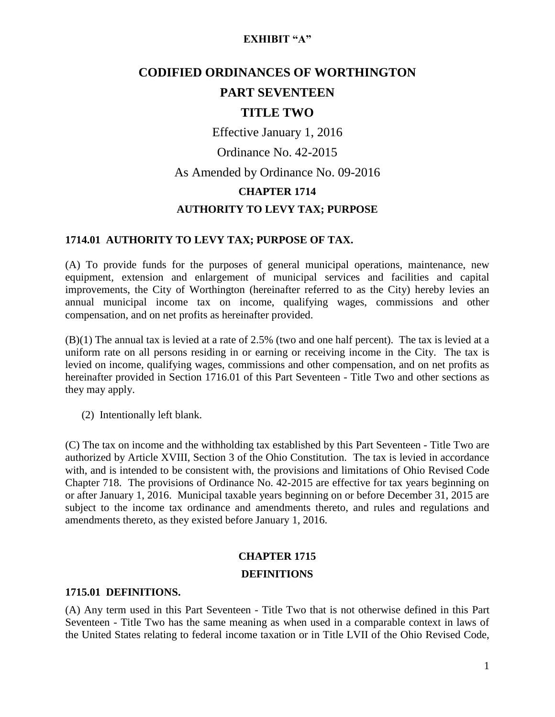# **CODIFIED ORDINANCES OF WORTHINGTON PART SEVENTEEN**

# **TITLE TWO**

Effective January 1, 2016

Ordinance No. 42-2015

As Amended by Ordinance No. 09-2016

### **CHAPTER 1714**

# **AUTHORITY TO LEVY TAX; PURPOSE**

## **1714.01 AUTHORITY TO LEVY TAX; PURPOSE OF TAX.**

(A) To provide funds for the purposes of general municipal operations, maintenance, new equipment, extension and enlargement of municipal services and facilities and capital improvements, the City of Worthington (hereinafter referred to as the City) hereby levies an annual municipal income tax on income, qualifying wages, commissions and other compensation, and on net profits as hereinafter provided.

(B)(1) The annual tax is levied at a rate of 2.5% (two and one half percent). The tax is levied at a uniform rate on all persons residing in or earning or receiving income in the City. The tax is levied on income, qualifying wages, commissions and other compensation, and on net profits as hereinafter provided in Section 1716.01 of this Part Seventeen - Title Two and other sections as they may apply.

(2) Intentionally left blank.

(C) The tax on income and the withholding tax established by this Part Seventeen - Title Two are authorized by Article XVIII, Section 3 of the Ohio Constitution. The tax is levied in accordance with, and is intended to be consistent with, the provisions and limitations of Ohio Revised Code Chapter 718. The provisions of Ordinance No. 42-2015 are effective for tax years beginning on or after January 1, 2016. Municipal taxable years beginning on or before December 31, 2015 are subject to the income tax ordinance and amendments thereto, and rules and regulations and amendments thereto, as they existed before January 1, 2016.

## **CHAPTER 1715**

### **DEFINITIONS**

### **1715.01 DEFINITIONS.**

(A) Any term used in this Part Seventeen - Title Two that is not otherwise defined in this Part Seventeen - Title Two has the same meaning as when used in a comparable context in laws of the United States relating to federal income taxation or in Title LVII of the Ohio Revised Code,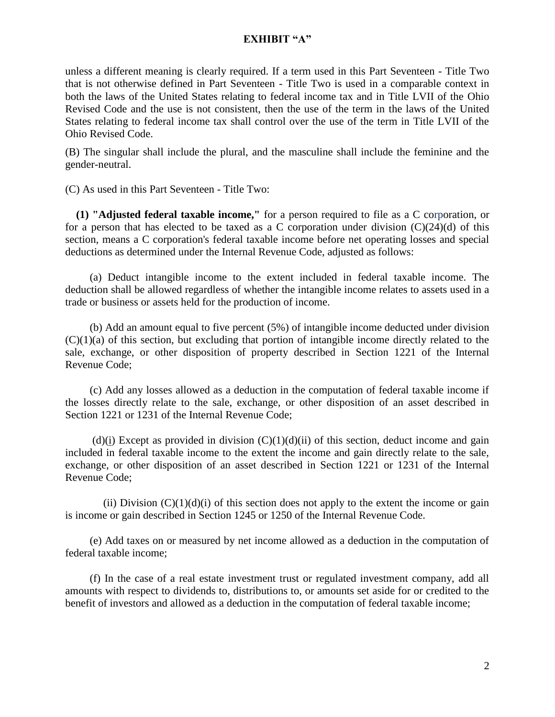unless a different meaning is clearly required. If a term used in this Part Seventeen - Title Two that is not otherwise defined in Part Seventeen - Title Two is used in a comparable context in both the laws of the United States relating to federal income tax and in Title LVII of the Ohio Revised Code and the use is not consistent, then the use of the term in the laws of the United States relating to federal income tax shall control over the use of the term in Title LVII of the Ohio Revised Code.

(B) The singular shall include the plural, and the masculine shall include the feminine and the gender-neutral.

(C) As used in this Part Seventeen - Title Two:

 **(1) "Adjusted federal taxable income,"** for a person required to file as a C corporation, or for a person that has elected to be taxed as a C corporation under division  $(C)(24)(d)$  of this section, means a C corporation's federal taxable income before net operating losses and special deductions as determined under the Internal Revenue Code, adjusted as follows:

 (a) Deduct intangible income to the extent included in federal taxable income. The deduction shall be allowed regardless of whether the intangible income relates to assets used in a trade or business or assets held for the production of income.

 (b) Add an amount equal to five percent (5%) of intangible income deducted under division  $(C)(1)(a)$  of this section, but excluding that portion of intangible income directly related to the sale, exchange, or other disposition of property described in Section 1221 of the Internal Revenue Code;

 (c) Add any losses allowed as a deduction in the computation of federal taxable income if the losses directly relate to the sale, exchange, or other disposition of an asset described in Section 1221 or 1231 of the Internal Revenue Code;

 $(d)(i)$  Except as provided in division  $(C)(1)(d)(ii)$  of this section, deduct income and gain included in federal taxable income to the extent the income and gain directly relate to the sale, exchange, or other disposition of an asset described in Section 1221 or 1231 of the Internal Revenue Code;

(ii) Division  $(C)(1)(d)(i)$  of this section does not apply to the extent the income or gain is income or gain described in Section 1245 or 1250 of the Internal Revenue Code.

 (e) Add taxes on or measured by net income allowed as a deduction in the computation of federal taxable income;

 (f) In the case of a real estate investment trust or regulated investment company, add all amounts with respect to dividends to, distributions to, or amounts set aside for or credited to the benefit of investors and allowed as a deduction in the computation of federal taxable income;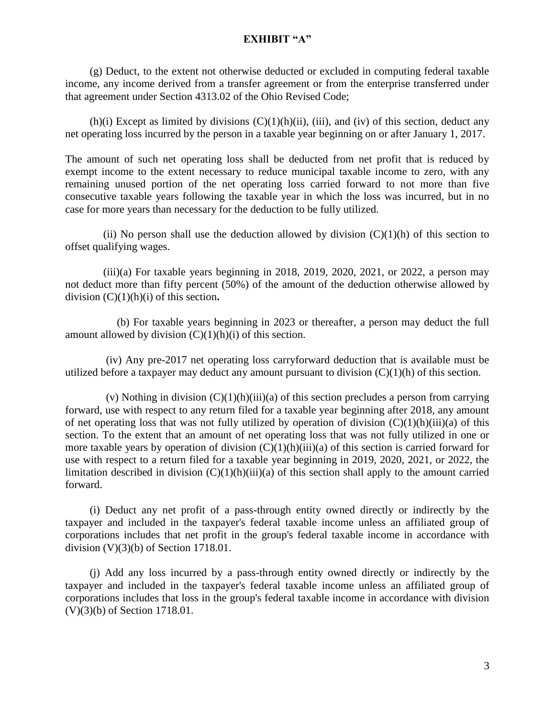(g) Deduct, to the extent not otherwise deducted or excluded in computing federal taxable income, any income derived from a transfer agreement or from the enterprise transferred under that agreement under Section [4313.02](http://codes.ohio.gov/orc/4313.02) of the Ohio Revised Code;

(h)(i) Except as limited by divisions  $(C)(1)(h)(ii)$ , (iii), and (iv) of this section, deduct any net operating loss incurred by the person in a taxable year beginning on or after January 1, 2017.

The amount of such net operating loss shall be deducted from net profit that is reduced by exempt income to the extent necessary to reduce municipal taxable income to zero, with any remaining unused portion of the net operating loss carried forward to not more than five consecutive taxable years following the taxable year in which the loss was incurred, but in no case for more years than necessary for the deduction to be fully utilized.

(ii) No person shall use the deduction allowed by division  $(C)(1)(h)$  of this section to offset qualifying wages.

 $(iii)(a)$  For taxable years beginning in 2018, 2019, 2020, 2021, or 2022, a person may not deduct more than fifty percent (50%) of the amount of the deduction otherwise allowed by division (C)(1)(h)(i) of this section**.**

 (b) For taxable years beginning in 2023 or thereafter, a person may deduct the full amount allowed by division  $(C)(1)(h)(i)$  of this section.

 (iv) Any pre-2017 net operating loss carryforward deduction that is available must be utilized before a taxpayer may deduct any amount pursuant to division  $(C)(1)(h)$  of this section.

(v) Nothing in division  $(C)(1)(h)(iii)(a)$  of this section precludes a person from carrying forward, use with respect to any return filed for a taxable year beginning after 2018, any amount of net operating loss that was not fully utilized by operation of division  $(C)(1)(h)(iii)(a)$  of this section. To the extent that an amount of net operating loss that was not fully utilized in one or more taxable years by operation of division  $(C)(1)(h)(iii)(a)$  of this section is carried forward for use with respect to a return filed for a taxable year beginning in 2019, 2020, 2021, or 2022, the limitation described in division  $(C)(1)(h)(iii)(a)$  of this section shall apply to the amount carried forward.

 (i) Deduct any net profit of a pass-through entity owned directly or indirectly by the taxpayer and included in the taxpayer's federal taxable income unless an affiliated group of corporations includes that net profit in the group's federal taxable income in accordance with division (V)(3)(b) of Section 1718.01.

 (j) Add any loss incurred by a pass-through entity owned directly or indirectly by the taxpayer and included in the taxpayer's federal taxable income unless an affiliated group of corporations includes that loss in the group's federal taxable income in accordance with division (V)(3)(b) of Section 1718.01.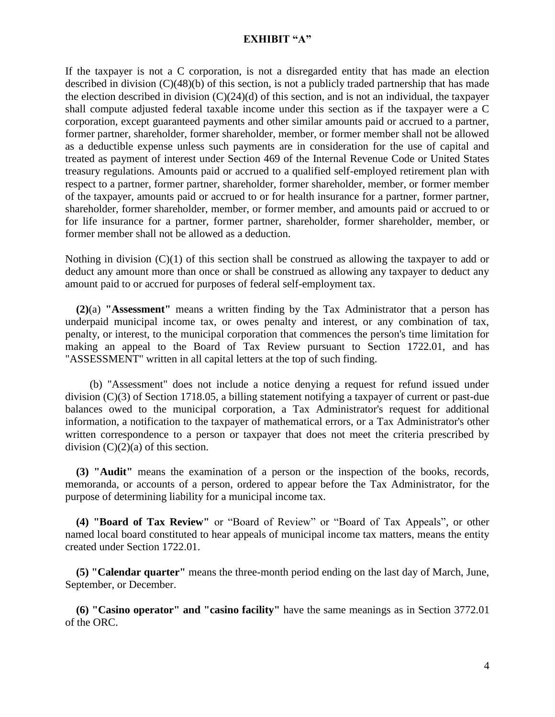If the taxpayer is not a C corporation, is not a disregarded entity that has made an election described in division (C)(48)(b) of this section, is not a publicly traded partnership that has made the election described in division  $(C)(24)(d)$  of this section, and is not an individual, the taxpayer shall compute adjusted federal taxable income under this section as if the taxpayer were a C corporation, except guaranteed payments and other similar amounts paid or accrued to a partner, former partner, shareholder, former shareholder, member, or former member shall not be allowed as a deductible expense unless such payments are in consideration for the use of capital and treated as payment of interest under Section 469 of the Internal Revenue Code or United States treasury regulations. Amounts paid or accrued to a qualified self-employed retirement plan with respect to a partner, former partner, shareholder, former shareholder, member, or former member of the taxpayer, amounts paid or accrued to or for health insurance for a partner, former partner, shareholder, former shareholder, member, or former member, and amounts paid or accrued to or for life insurance for a partner, former partner, shareholder, former shareholder, member, or former member shall not be allowed as a deduction.

Nothing in division  $(C)(1)$  of this section shall be construed as allowing the taxpayer to add or deduct any amount more than once or shall be construed as allowing any taxpayer to deduct any amount paid to or accrued for purposes of federal self-employment tax.

 **(2)**(a) **"Assessment"** means a written finding by the Tax Administrator that a person has underpaid municipal income tax, or owes penalty and interest, or any combination of tax, penalty, or interest, to the municipal corporation that commences the person's time limitation for making an appeal to the Board of Tax Review pursuant to Section 1722.01, and has "ASSESSMENT" written in all capital letters at the top of such finding.

 (b) "Assessment" does not include a notice denying a request for refund issued under division (C)(3) of Section 1718.05, a billing statement notifying a taxpayer of current or past-due balances owed to the municipal corporation, a Tax Administrator's request for additional information, a notification to the taxpayer of mathematical errors, or a Tax Administrator's other written correspondence to a person or taxpayer that does not meet the criteria prescribed by division  $(C)(2)(a)$  of this section.

 **(3) "Audit"** means the examination of a person or the inspection of the books, records, memoranda, or accounts of a person, ordered to appear before the Tax Administrator, for the purpose of determining liability for a municipal income tax.

 **(4) "Board of Tax Review"** or "Board of Review" or "Board of Tax Appeals", or other named local board constituted to hear appeals of municipal income tax matters, means the entity created under Section 1722.01.

 **(5) "Calendar quarter"** means the three-month period ending on the last day of March, June, September, or December.

 **(6) "Casino operator" and "casino facility"** have the same meanings as in Section [3772.01](http://codes.ohio.gov/orc/3772.01) of the ORC.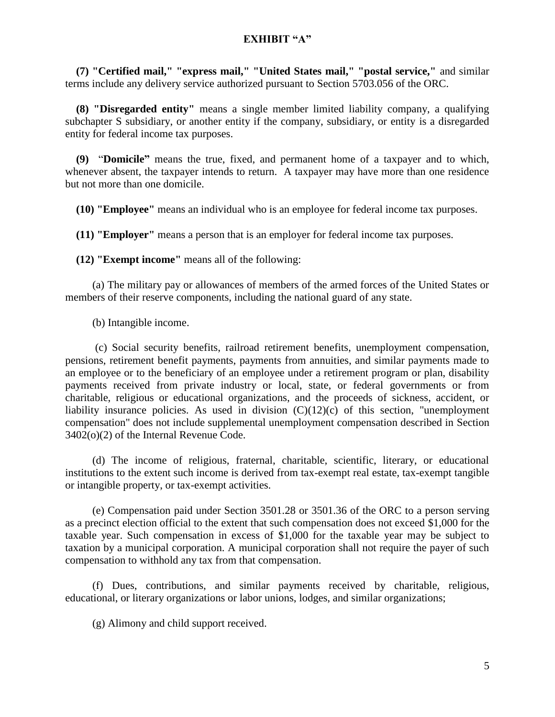**(7) "Certified mail," "express mail," "United States mail," "postal service,"** and similar terms include any delivery service authorized pursuant to Section [5703.056](http://codes.ohio.gov/orc/5703.056) of the ORC.

 **(8) "Disregarded entity"** means a single member limited liability company, a qualifying subchapter S subsidiary, or another entity if the company, subsidiary, or entity is a disregarded entity for federal income tax purposes.

 **(9)** "**Domicile"** means the true, fixed, and permanent home of a taxpayer and to which, whenever absent, the taxpayer intends to return. A taxpayer may have more than one residence but not more than one domicile.

 **(10) "Employee"** means an individual who is an employee for federal income tax purposes.

 **(11) "Employer"** means a person that is an employer for federal income tax purposes.

 **(12) "Exempt income"** means all of the following:

 (a) The military pay or allowances of members of the armed forces of the United States or members of their reserve components, including the national guard of any state.

(b) Intangible income.

 (c) Social security benefits, railroad retirement benefits, unemployment compensation, pensions, retirement benefit payments, payments from annuities, and similar payments made to an employee or to the beneficiary of an employee under a retirement program or plan, disability payments received from private industry or local, state, or federal governments or from charitable, religious or educational organizations, and the proceeds of sickness, accident, or liability insurance policies. As used in division  $(C)(12)(c)$  of this section, "unemployment" compensation" does not include supplemental unemployment compensation described in Section 3402(o)(2) of the Internal Revenue Code.

 (d) The income of religious, fraternal, charitable, scientific, literary, or educational institutions to the extent such income is derived from tax-exempt real estate, tax-exempt tangible or intangible property, or tax-exempt activities.

 (e) Compensation paid under Section [3501.28](http://codes.ohio.gov/orc/3501.28) or [3501.36](http://codes.ohio.gov/orc/3501.36) of the ORC to a person serving as a precinct election official to the extent that such compensation does not exceed \$1,000 for the taxable year. Such compensation in excess of \$1,000 for the taxable year may be subject to taxation by a municipal corporation. A municipal corporation shall not require the payer of such compensation to withhold any tax from that compensation.

 (f) Dues, contributions, and similar payments received by charitable, religious, educational, or literary organizations or labor unions, lodges, and similar organizations;

(g) Alimony and child support received.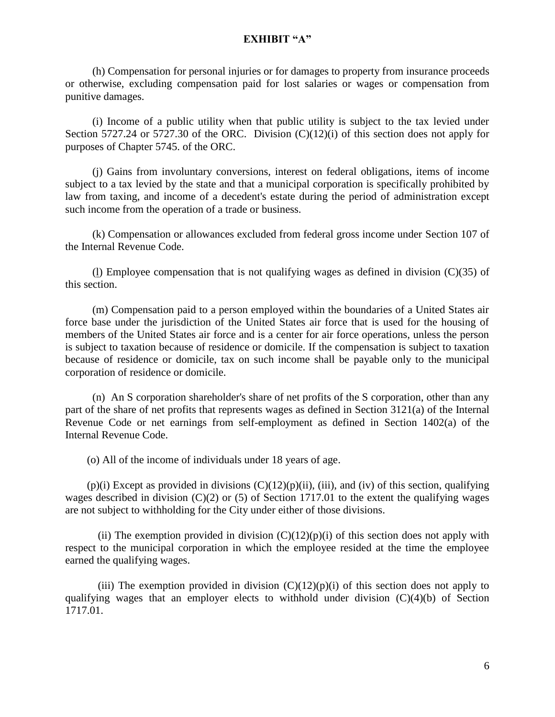(h) Compensation for personal injuries or for damages to property from insurance proceeds or otherwise, excluding compensation paid for lost salaries or wages or compensation from punitive damages.

 (i) Income of a public utility when that public utility is subject to the tax levied under Section [5727.24](http://codes.ohio.gov/orc/5727.24) or [5727.30](http://codes.ohio.gov/orc/5727.30) of the ORC. Division  $(C)(12)(i)$  of this section does not apply for purposes of Chapter 5745. of the ORC.

 (j) Gains from involuntary conversions, interest on federal obligations, items of income subject to a tax levied by the state and that a municipal corporation is specifically prohibited by law from taxing, and income of a decedent's estate during the period of administration except such income from the operation of a trade or business.

 (k) Compensation or allowances excluded from federal gross income under Section 107 of the Internal Revenue Code.

(1) Employee compensation that is not qualifying wages as defined in division  $(C)(35)$  of this section.

 (m) Compensation paid to a person employed within the boundaries of a United States air force base under the jurisdiction of the United States air force that is used for the housing of members of the United States air force and is a center for air force operations, unless the person is subject to taxation because of residence or domicile. If the compensation is subject to taxation because of residence or domicile, tax on such income shall be payable only to the municipal corporation of residence or domicile.

 (n) An S corporation shareholder's share of net profits of the S corporation, other than any part of the share of net profits that represents wages as defined in Section 3121(a) of the Internal Revenue Code or net earnings from self-employment as defined in Section 1402(a) of the Internal Revenue Code.

(o) All of the income of individuals under 18 years of age.

 $(p)(i)$  Except as provided in divisions  $(C)(12)(p)(ii)$ , (iii), and (iv) of this section, qualifying wages described in division (C)(2) or (5) of Section 1717.01 to the extent the qualifying wages are not subject to withholding for the City under either of those divisions.

(ii) The exemption provided in division  $(C)(12)(p)(i)$  of this section does not apply with respect to the municipal corporation in which the employee resided at the time the employee earned the qualifying wages.

(iii) The exemption provided in division  $(C)(12)(p)(i)$  of this section does not apply to qualifying wages that an employer elects to withhold under division (C)(4)(b) of Section 1717.01.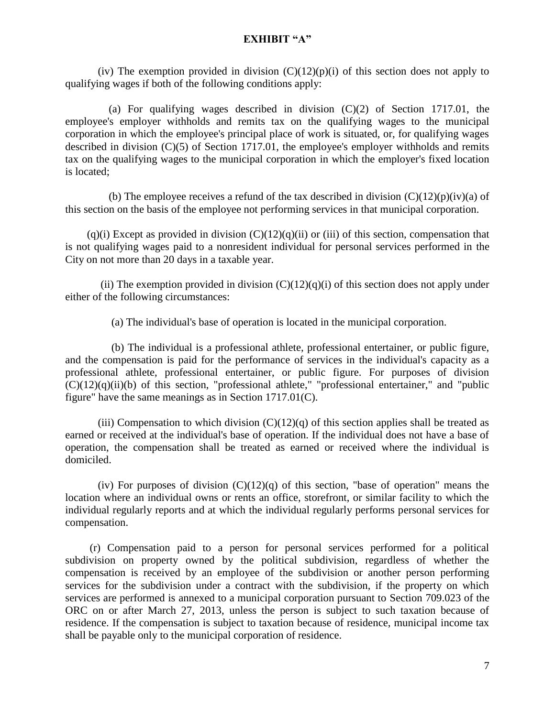(iv) The exemption provided in division  $(C)(12)(p)(i)$  of this section does not apply to qualifying wages if both of the following conditions apply:

 (a) For qualifying wages described in division (C)(2) of Section 1717.01, the employee's employer withholds and remits tax on the qualifying wages to the municipal corporation in which the employee's principal place of work is situated, or, for qualifying wages described in division (C)(5) of Section 1717.01, the employee's employer withholds and remits tax on the qualifying wages to the municipal corporation in which the employer's fixed location is located;

(b) The employee receives a refund of the tax described in division  $(C)(12)(p)(iv)(a)$  of this section on the basis of the employee not performing services in that municipal corporation.

 $(q)(i)$  Except as provided in division  $(C)(12)(q)(ii)$  or (iii) of this section, compensation that is not qualifying wages paid to a nonresident individual for personal services performed in the City on not more than 20 days in a taxable year.

(ii) The exemption provided in division  $(C)(12)(q)(i)$  of this section does not apply under either of the following circumstances:

(a) The individual's base of operation is located in the municipal corporation.

 (b) The individual is a professional athlete, professional entertainer, or public figure, and the compensation is paid for the performance of services in the individual's capacity as a professional athlete, professional entertainer, or public figure. For purposes of division  $(C)(12)(q)(ii)(b)$  of this section, "professional athlete," "professional entertainer," and "public figure" have the same meanings as in Section 1717.01(C).

(iii) Compensation to which division  $(C)(12)(q)$  of this section applies shall be treated as earned or received at the individual's base of operation. If the individual does not have a base of operation, the compensation shall be treated as earned or received where the individual is domiciled.

(iv) For purposes of division  $(C)(12)(q)$  of this section, "base of operation" means the location where an individual owns or rents an office, storefront, or similar facility to which the individual regularly reports and at which the individual regularly performs personal services for compensation.

 (r) Compensation paid to a person for personal services performed for a political subdivision on property owned by the political subdivision, regardless of whether the compensation is received by an employee of the subdivision or another person performing services for the subdivision under a contract with the subdivision, if the property on which services are performed is annexed to a municipal corporation pursuant to Section [709.023](http://codes.ohio.gov/orc/709.023) of the ORC on or after March 27, 2013, unless the person is subject to such taxation because of residence. If the compensation is subject to taxation because of residence, municipal income tax shall be payable only to the municipal corporation of residence.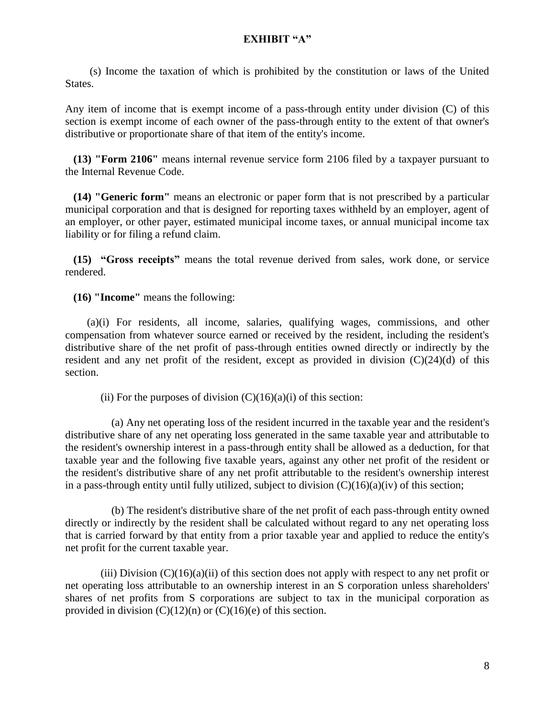(s) Income the taxation of which is prohibited by the constitution or laws of the United States.

Any item of income that is exempt income of a pass-through entity under division (C) of this section is exempt income of each owner of the pass-through entity to the extent of that owner's distributive or proportionate share of that item of the entity's income.

 **(13) "Form 2106"** means internal revenue service form 2106 filed by a taxpayer pursuant to the Internal Revenue Code.

 **(14) "Generic form"** means an electronic or paper form that is not prescribed by a particular municipal corporation and that is designed for reporting taxes withheld by an employer, agent of an employer, or other payer, estimated municipal income taxes, or annual municipal income tax liability or for filing a refund claim.

 **(15) "Gross receipts"** means the total revenue derived from sales, work done, or service rendered.

 **(16) "Income"** means the following:

 (a)(i) For residents, all income, salaries, qualifying wages, commissions, and other compensation from whatever source earned or received by the resident, including the resident's distributive share of the net profit of pass-through entities owned directly or indirectly by the resident and any net profit of the resident, except as provided in division (C)(24)(d) of this section.

(ii) For the purposes of division  $(C)(16)(a)(i)$  of this section:

 (a) Any net operating loss of the resident incurred in the taxable year and the resident's distributive share of any net operating loss generated in the same taxable year and attributable to the resident's ownership interest in a pass-through entity shall be allowed as a deduction, for that taxable year and the following five taxable years, against any other net profit of the resident or the resident's distributive share of any net profit attributable to the resident's ownership interest in a pass-through entity until fully utilized, subject to division  $(C)(16)(a)(iv)$  of this section;

 (b) The resident's distributive share of the net profit of each pass-through entity owned directly or indirectly by the resident shall be calculated without regard to any net operating loss that is carried forward by that entity from a prior taxable year and applied to reduce the entity's net profit for the current taxable year.

(iii) Division  $(C)(16)(a)(ii)$  of this section does not apply with respect to any net profit or net operating loss attributable to an ownership interest in an S corporation unless shareholders' shares of net profits from S corporations are subject to tax in the municipal corporation as provided in division  $(C)(12)(n)$  or  $(C)(16)(e)$  of this section.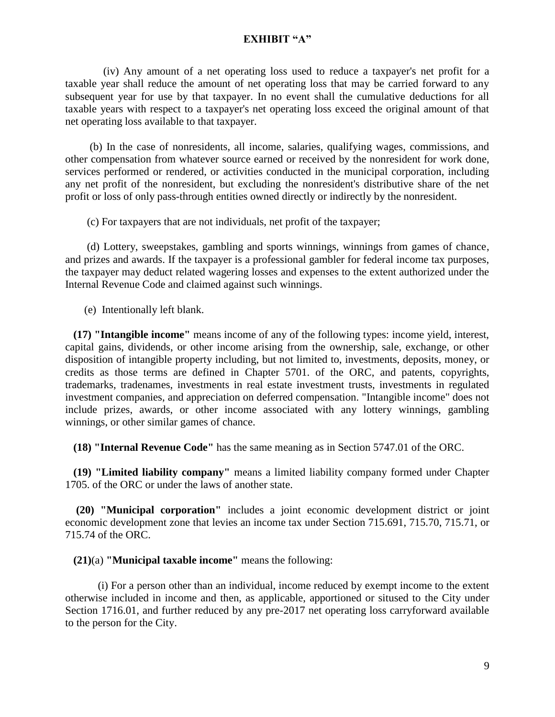(iv) Any amount of a net operating loss used to reduce a taxpayer's net profit for a taxable year shall reduce the amount of net operating loss that may be carried forward to any subsequent year for use by that taxpayer. In no event shall the cumulative deductions for all taxable years with respect to a taxpayer's net operating loss exceed the original amount of that net operating loss available to that taxpayer.

 (b) In the case of nonresidents, all income, salaries, qualifying wages, commissions, and other compensation from whatever source earned or received by the nonresident for work done, services performed or rendered, or activities conducted in the municipal corporation, including any net profit of the nonresident, but excluding the nonresident's distributive share of the net profit or loss of only pass-through entities owned directly or indirectly by the nonresident.

(c) For taxpayers that are not individuals, net profit of the taxpayer;

 (d) Lottery, sweepstakes, gambling and sports winnings, winnings from games of chance, and prizes and awards. If the taxpayer is a professional gambler for federal income tax purposes, the taxpayer may deduct related wagering losses and expenses to the extent authorized under the Internal Revenue Code and claimed against such winnings.

(e) Intentionally left blank.

 **(17) "Intangible income"** means income of any of the following types: income yield, interest, capital gains, dividends, or other income arising from the ownership, sale, exchange, or other disposition of intangible property including, but not limited to, investments, deposits, money, or credits as those terms are defined in Chapter 5701. of the ORC, and patents, copyrights, trademarks, tradenames, investments in real estate investment trusts, investments in regulated investment companies, and appreciation on deferred compensation. "Intangible income" does not include prizes, awards, or other income associated with any lottery winnings, gambling winnings, or other similar games of chance.

 **(18) "Internal Revenue Code"** has the same meaning as in Section [5747.01](http://codes.ohio.gov/orc/5747.01) of the ORC.

 **(19) "Limited liability company"** means a limited liability company formed under Chapter 1705. of the ORC or under the laws of another state.

 **(20) "Municipal corporation"** includes a joint economic development district or joint economic development zone that levies an income tax under Section [715.691,](http://codes.ohio.gov/orc/715.691) [715.70,](http://codes.ohio.gov/orc/715.70) [715.71,](http://codes.ohio.gov/orc/715.71) or [715.74](http://codes.ohio.gov/orc/715.74) of the ORC.

 **(21)**(a) **"Municipal taxable income"** means the following:

(i) For a person other than an individual, income reduced by exempt income to the extent otherwise included in income and then, as applicable, apportioned or sitused to the City under Section 1716.01, and further reduced by any pre-2017 net operating loss carryforward available to the person for the City.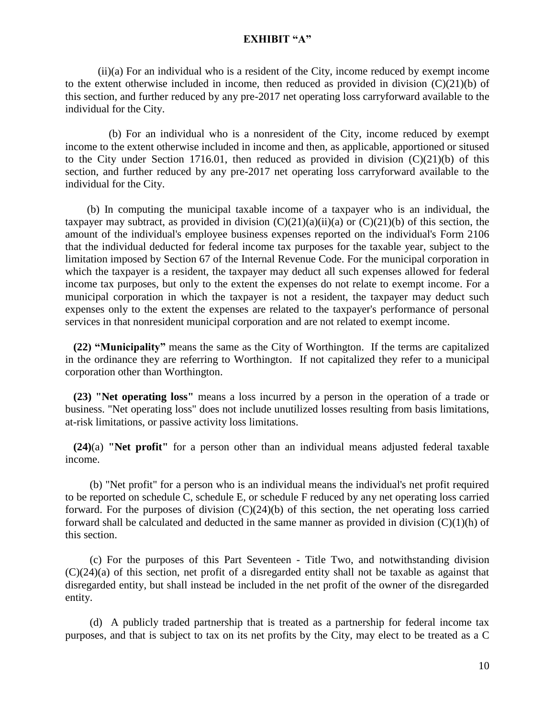(ii)(a) For an individual who is a resident of the City, income reduced by exempt income to the extent otherwise included in income, then reduced as provided in division  $(C)(21)(b)$  of this section, and further reduced by any pre-2017 net operating loss carryforward available to the individual for the City.

 (b) For an individual who is a nonresident of the City, income reduced by exempt income to the extent otherwise included in income and then, as applicable, apportioned or sitused to the City under Section 1716.01, then reduced as provided in division  $(C)(21)(b)$  of this section, and further reduced by any pre-2017 net operating loss carryforward available to the individual for the City.

 (b) In computing the municipal taxable income of a taxpayer who is an individual, the taxpayer may subtract, as provided in division  $(C)(21)(a)(ii)(a)$  or  $(C)(21)(b)$  of this section, the amount of the individual's employee business expenses reported on the individual's Form 2106 that the individual deducted for federal income tax purposes for the taxable year, subject to the limitation imposed by Section 67 of the Internal Revenue Code. For the municipal corporation in which the taxpayer is a resident, the taxpayer may deduct all such expenses allowed for federal income tax purposes, but only to the extent the expenses do not relate to exempt income. For a municipal corporation in which the taxpayer is not a resident, the taxpayer may deduct such expenses only to the extent the expenses are related to the taxpayer's performance of personal services in that nonresident municipal corporation and are not related to exempt income.

 **(22) "Municipality"** means the same as the City of Worthington. If the terms are capitalized in the ordinance they are referring to Worthington. If not capitalized they refer to a municipal corporation other than Worthington.

 **(23) "Net operating loss"** means a loss incurred by a person in the operation of a trade or business. "Net operating loss" does not include unutilized losses resulting from basis limitations, at-risk limitations, or passive activity loss limitations.

 **(24)**(a) **"Net profit"** for a person other than an individual means adjusted federal taxable income.

 (b) "Net profit" for a person who is an individual means the individual's net profit required to be reported on schedule C, schedule E, or schedule F reduced by any net operating loss carried forward. For the purposes of division (C)(24)(b) of this section, the net operating loss carried forward shall be calculated and deducted in the same manner as provided in division  $(C)(1)(h)$  of this section.

 (c) For the purposes of this Part Seventeen - Title Two, and notwithstanding division (C)(24)(a) of this section, net profit of a disregarded entity shall not be taxable as against that disregarded entity, but shall instead be included in the net profit of the owner of the disregarded entity.

 (d) A publicly traded partnership that is treated as a partnership for federal income tax purposes, and that is subject to tax on its net profits by the City, may elect to be treated as a C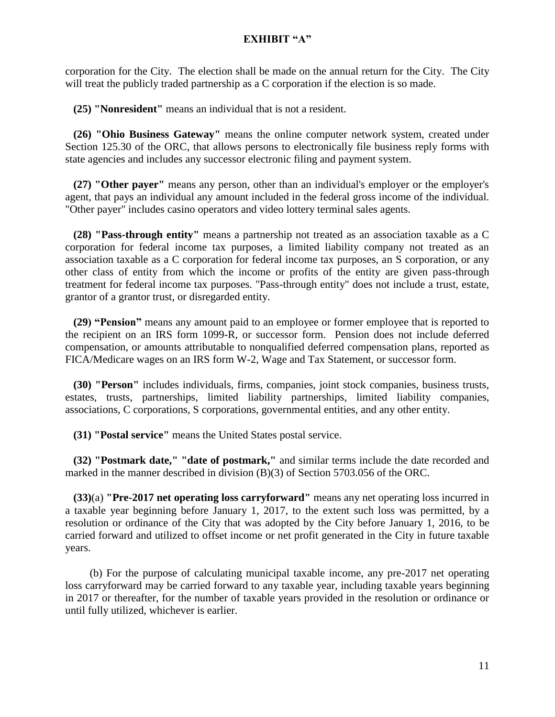corporation for the City. The election shall be made on the annual return for the City. The City will treat the publicly traded partnership as a C corporation if the election is so made.

 **(25) "Nonresident"** means an individual that is not a resident.

 **(26) "Ohio Business Gateway"** means the online computer network system, created under Section [125.30](http://codes.ohio.gov/orc/125.30) of the ORC, that allows persons to electronically file business reply forms with state agencies and includes any successor electronic filing and payment system.

 **(27) "Other payer"** means any person, other than an individual's employer or the employer's agent, that pays an individual any amount included in the federal gross income of the individual. "Other payer" includes casino operators and video lottery terminal sales agents.

 **(28) "Pass-through entity"** means a partnership not treated as an association taxable as a C corporation for federal income tax purposes, a limited liability company not treated as an association taxable as a C corporation for federal income tax purposes, an S corporation, or any other class of entity from which the income or profits of the entity are given pass-through treatment for federal income tax purposes. "Pass-through entity" does not include a trust, estate, grantor of a grantor trust, or disregarded entity.

 **(29) "Pension"** means any amount paid to an employee or former employee that is reported to the recipient on an IRS form 1099-R, or successor form. Pension does not include deferred compensation, or amounts attributable to nonqualified deferred compensation plans, reported as FICA/Medicare wages on an IRS form W-2, Wage and Tax Statement, or successor form.

 **(30) "Person"** includes individuals, firms, companies, joint stock companies, business trusts, estates, trusts, partnerships, limited liability partnerships, limited liability companies, associations, C corporations, S corporations, governmental entities, and any other entity.

 **(31) "Postal service"** means the United States postal service.

 **(32) "Postmark date," "date of postmark,"** and similar terms include the date recorded and marked in the manner described in division (B)(3) of Section [5703.056](http://codes.ohio.gov/orc/5703.056) of the ORC.

 **(33)**(a) **"Pre-2017 net operating loss carryforward"** means any net operating loss incurred in a taxable year beginning before January 1, 2017, to the extent such loss was permitted, by a resolution or ordinance of the City that was adopted by the City before January 1, 2016, to be carried forward and utilized to offset income or net profit generated in the City in future taxable years.

 (b) For the purpose of calculating municipal taxable income, any pre-2017 net operating loss carryforward may be carried forward to any taxable year, including taxable years beginning in 2017 or thereafter, for the number of taxable years provided in the resolution or ordinance or until fully utilized, whichever is earlier.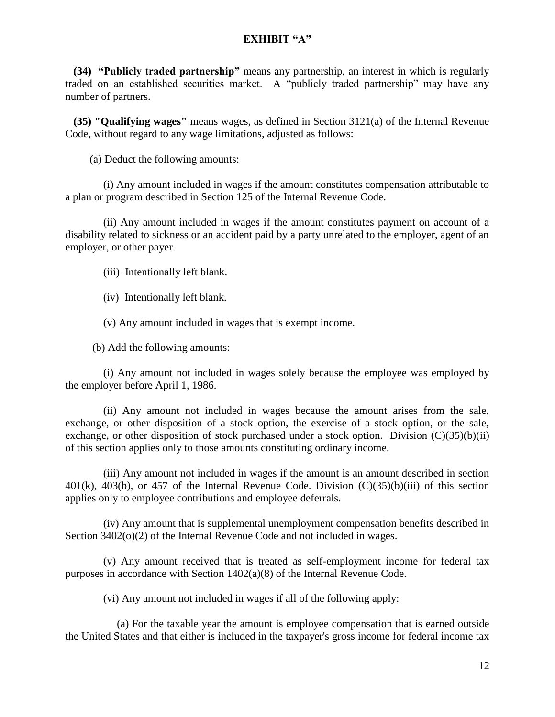**(34) "Publicly traded partnership"** means any partnership, an interest in which is regularly traded on an established securities market. A "publicly traded partnership" may have any number of partners.

 **(35) "Qualifying wages"** means wages, as defined in Section 3121(a) of the Internal Revenue Code, without regard to any wage limitations, adjusted as follows:

(a) Deduct the following amounts:

 (i) Any amount included in wages if the amount constitutes compensation attributable to a plan or program described in Section 125 of the Internal Revenue Code.

 (ii) Any amount included in wages if the amount constitutes payment on account of a disability related to sickness or an accident paid by a party unrelated to the employer, agent of an employer, or other payer.

(iii) Intentionally left blank.

(iv) Intentionally left blank.

(v) Any amount included in wages that is exempt income.

(b) Add the following amounts:

 (i) Any amount not included in wages solely because the employee was employed by the employer before April 1, 1986.

 (ii) Any amount not included in wages because the amount arises from the sale, exchange, or other disposition of a stock option, the exercise of a stock option, or the sale, exchange, or other disposition of stock purchased under a stock option. Division  $(C)(35)(b)(ii)$ of this section applies only to those amounts constituting ordinary income.

 (iii) Any amount not included in wages if the amount is an amount described in section  $401(k)$ ,  $403(b)$ , or  $457$  of the Internal Revenue Code. Division  $(C)(35)(b)(iii)$  of this section applies only to employee contributions and employee deferrals.

 (iv) Any amount that is supplemental unemployment compensation benefits described in Section 3402(o)(2) of the Internal Revenue Code and not included in wages.

 (v) Any amount received that is treated as self-employment income for federal tax purposes in accordance with Section 1402(a)(8) of the Internal Revenue Code.

(vi) Any amount not included in wages if all of the following apply:

 (a) For the taxable year the amount is employee compensation that is earned outside the United States and that either is included in the taxpayer's gross income for federal income tax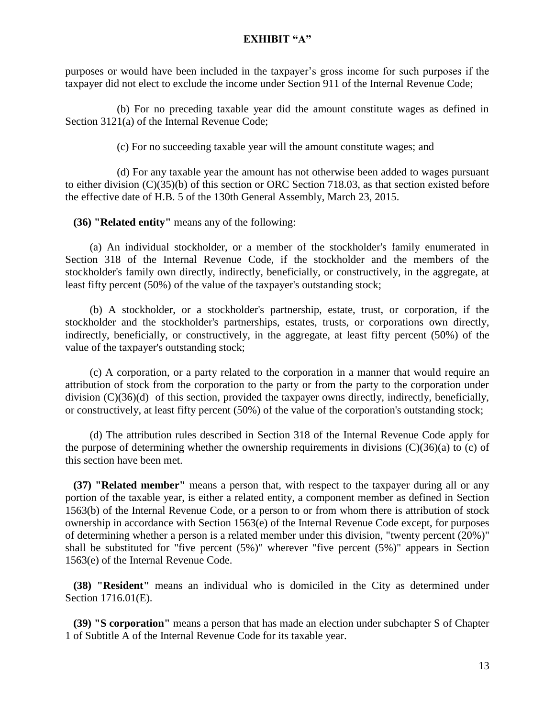purposes or would have been included in the taxpayer's gross income for such purposes if the taxpayer did not elect to exclude the income under Section 911 of the Internal Revenue Code;

 (b) For no preceding taxable year did the amount constitute wages as defined in Section 3121(a) of the Internal Revenue Code;

(c) For no succeeding taxable year will the amount constitute wages; and

 (d) For any taxable year the amount has not otherwise been added to wages pursuant to either division (C)(35)(b) of this section or ORC Section 718.03, as that section existed before the effective date of H.B. 5 of the 130th General Assembly, March 23, 2015.

**(36) "Related entity"** means any of the following:

 (a) An individual stockholder, or a member of the stockholder's family enumerated in Section 318 of the Internal Revenue Code, if the stockholder and the members of the stockholder's family own directly, indirectly, beneficially, or constructively, in the aggregate, at least fifty percent (50%) of the value of the taxpayer's outstanding stock;

 (b) A stockholder, or a stockholder's partnership, estate, trust, or corporation, if the stockholder and the stockholder's partnerships, estates, trusts, or corporations own directly, indirectly, beneficially, or constructively, in the aggregate, at least fifty percent (50%) of the value of the taxpayer's outstanding stock;

 (c) A corporation, or a party related to the corporation in a manner that would require an attribution of stock from the corporation to the party or from the party to the corporation under division (C)(36)(d) of this section, provided the taxpayer owns directly, indirectly, beneficially, or constructively, at least fifty percent (50%) of the value of the corporation's outstanding stock;

 (d) The attribution rules described in Section 318 of the Internal Revenue Code apply for the purpose of determining whether the ownership requirements in divisions  $(C)(36)(a)$  to (c) of this section have been met.

 **(37) "Related member"** means a person that, with respect to the taxpayer during all or any portion of the taxable year, is either a related entity, a component member as defined in Section 1563(b) of the Internal Revenue Code, or a person to or from whom there is attribution of stock ownership in accordance with Section 1563(e) of the Internal Revenue Code except, for purposes of determining whether a person is a related member under this division, "twenty percent (20%)" shall be substituted for "five percent (5%)" wherever "five percent (5%)" appears in Section 1563(e) of the Internal Revenue Code.

 **(38) "Resident"** means an individual who is domiciled in the City as determined under Section 1716.01(E).

 **(39) "S corporation"** means a person that has made an election under subchapter S of Chapter 1 of Subtitle A of the Internal Revenue Code for its taxable year.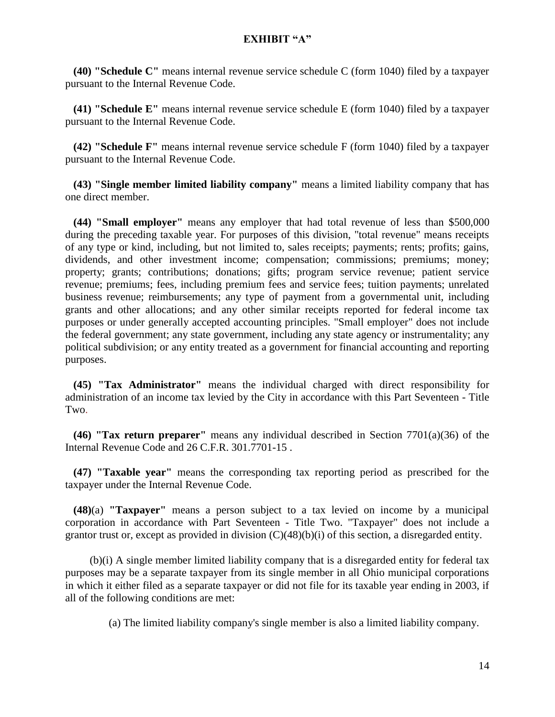**(40) "Schedule C"** means internal revenue service schedule C (form 1040) filed by a taxpayer pursuant to the Internal Revenue Code.

 **(41) "Schedule E"** means internal revenue service schedule E (form 1040) filed by a taxpayer pursuant to the Internal Revenue Code.

 **(42) "Schedule F"** means internal revenue service schedule F (form 1040) filed by a taxpayer pursuant to the Internal Revenue Code.

 **(43) "Single member limited liability company"** means a limited liability company that has one direct member.

 **(44) "Small employer"** means any employer that had total revenue of less than \$500,000 during the preceding taxable year. For purposes of this division, "total revenue" means receipts of any type or kind, including, but not limited to, sales receipts; payments; rents; profits; gains, dividends, and other investment income; compensation; commissions; premiums; money; property; grants; contributions; donations; gifts; program service revenue; patient service revenue; premiums; fees, including premium fees and service fees; tuition payments; unrelated business revenue; reimbursements; any type of payment from a governmental unit, including grants and other allocations; and any other similar receipts reported for federal income tax purposes or under generally accepted accounting principles. "Small employer" does not include the federal government; any state government, including any state agency or instrumentality; any political subdivision; or any entity treated as a government for financial accounting and reporting purposes.

 **(45) "Tax Administrator"** means the individual charged with direct responsibility for administration of an income tax levied by the City in accordance with this Part Seventeen - Title Two.

 **(46) "Tax return preparer"** means any individual described in Section 7701(a)(36) of the Internal Revenue Code and 26 C.F.R. 301.7701-15 .

 **(47) "Taxable year"** means the corresponding tax reporting period as prescribed for the taxpayer under the Internal Revenue Code.

 **(48)**(a) **"Taxpayer"** means a person subject to a tax levied on income by a municipal corporation in accordance with Part Seventeen - Title Two. "Taxpayer" does not include a grantor trust or, except as provided in division (C)(48)(b)(i) of this section, a disregarded entity.

 (b)(i) A single member limited liability company that is a disregarded entity for federal tax purposes may be a separate taxpayer from its single member in all Ohio municipal corporations in which it either filed as a separate taxpayer or did not file for its taxable year ending in 2003, if all of the following conditions are met:

(a) The limited liability company's single member is also a limited liability company.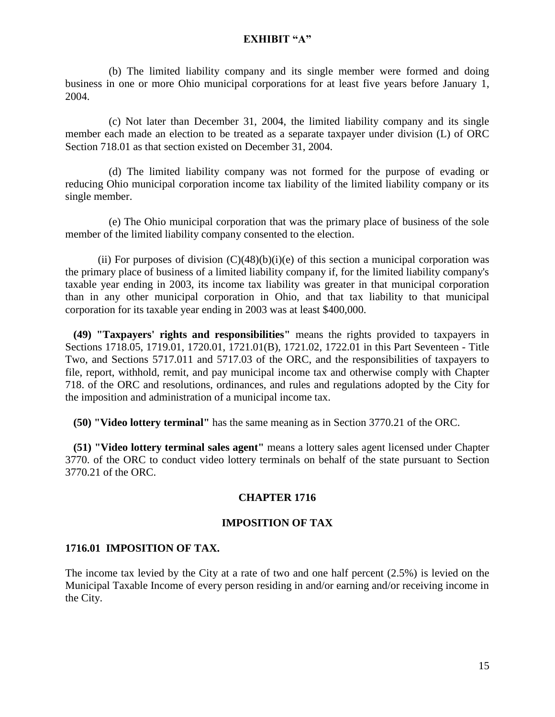(b) The limited liability company and its single member were formed and doing business in one or more Ohio municipal corporations for at least five years before January 1, 2004.

 (c) Not later than December 31, 2004, the limited liability company and its single member each made an election to be treated as a separate taxpayer under division (L) of ORC Section 718.01 as that section existed on December 31, 2004.

 (d) The limited liability company was not formed for the purpose of evading or reducing Ohio municipal corporation income tax liability of the limited liability company or its single member.

 (e) The Ohio municipal corporation that was the primary place of business of the sole member of the limited liability company consented to the election.

(ii) For purposes of division  $(C)(48)(b)(i)(e)$  of this section a municipal corporation was the primary place of business of a limited liability company if, for the limited liability company's taxable year ending in 2003, its income tax liability was greater in that municipal corporation than in any other municipal corporation in Ohio, and that tax liability to that municipal corporation for its taxable year ending in 2003 was at least \$400,000.

 **(49) "Taxpayers' rights and responsibilities"** means the rights provided to taxpayers in Sections 1718.05, 1719.01, 1720.01, 1721.01(B), 1721.02, 1722.01 in this Part Seventeen - Title Two, and Sections [5717.011](http://codes.ohio.gov/orc/5717.011) and [5717.03](http://codes.ohio.gov/orc/5717.03) of the ORC, and the responsibilities of taxpayers to file, report, withhold, remit, and pay municipal income tax and otherwise comply with Chapter 718. of the ORC and resolutions, ordinances, and rules and regulations adopted by the City for the imposition and administration of a municipal income tax.

 **(50) "Video lottery terminal"** has the same meaning as in Section [3770.21](http://codes.ohio.gov/orc/3770.21) of the ORC.

 **(51) "Video lottery terminal sales agent"** means a lottery sales agent licensed under Chapter 3770. of the ORC to conduct video lottery terminals on behalf of the state pursuant to Section [3770.21](http://codes.ohio.gov/orc/3770.21) of the ORC.

### **CHAPTER 1716**

### **IMPOSITION OF TAX**

### **1716.01 IMPOSITION OF TAX.**

The income tax levied by the City at a rate of two and one half percent (2.5%) is levied on the Municipal Taxable Income of every person residing in and/or earning and/or receiving income in the City.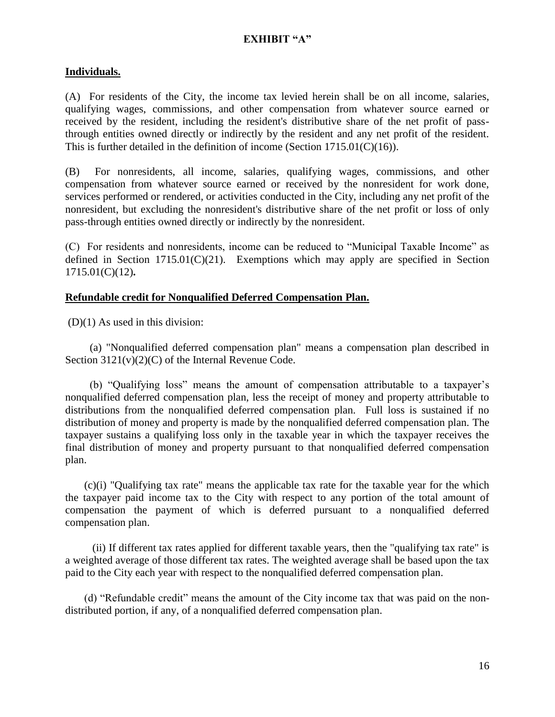### **Individuals.**

(A) For residents of the City, the income tax levied herein shall be on all income, salaries, qualifying wages, commissions, and other compensation from whatever source earned or received by the resident, including the resident's distributive share of the net profit of passthrough entities owned directly or indirectly by the resident and any net profit of the resident. This is further detailed in the definition of income (Section 1715.01(C)(16)).

(B) For nonresidents, all income, salaries, qualifying wages, commissions, and other compensation from whatever source earned or received by the nonresident for work done, services performed or rendered, or activities conducted in the City, including any net profit of the nonresident, but excluding the nonresident's distributive share of the net profit or loss of only pass-through entities owned directly or indirectly by the nonresident.

(C) For residents and nonresidents, income can be reduced to "Municipal Taxable Income" as defined in Section  $1715.01(C)(21)$ . Exemptions which may apply are specified in Section 1715.01(C)(12)**.**

### **Refundable credit for Nonqualified Deferred Compensation Plan.**

(D)(1) As used in this division:

 (a) "Nonqualified deferred compensation plan" means a compensation plan described in Section 3121(v)(2)(C) of the Internal Revenue Code.

 (b) "Qualifying loss" means the amount of compensation attributable to a taxpayer's nonqualified deferred compensation plan, less the receipt of money and property attributable to distributions from the nonqualified deferred compensation plan. Full loss is sustained if no distribution of money and property is made by the nonqualified deferred compensation plan. The taxpayer sustains a qualifying loss only in the taxable year in which the taxpayer receives the final distribution of money and property pursuant to that nonqualified deferred compensation plan.

 (c)(i) "Qualifying tax rate" means the applicable tax rate for the taxable year for the which the taxpayer paid income tax to the City with respect to any portion of the total amount of compensation the payment of which is deferred pursuant to a nonqualified deferred compensation plan.

 (ii) If different tax rates applied for different taxable years, then the "qualifying tax rate" is a weighted average of those different tax rates. The weighted average shall be based upon the tax paid to the City each year with respect to the nonqualified deferred compensation plan.

 (d) "Refundable credit" means the amount of the City income tax that was paid on the nondistributed portion, if any, of a nonqualified deferred compensation plan.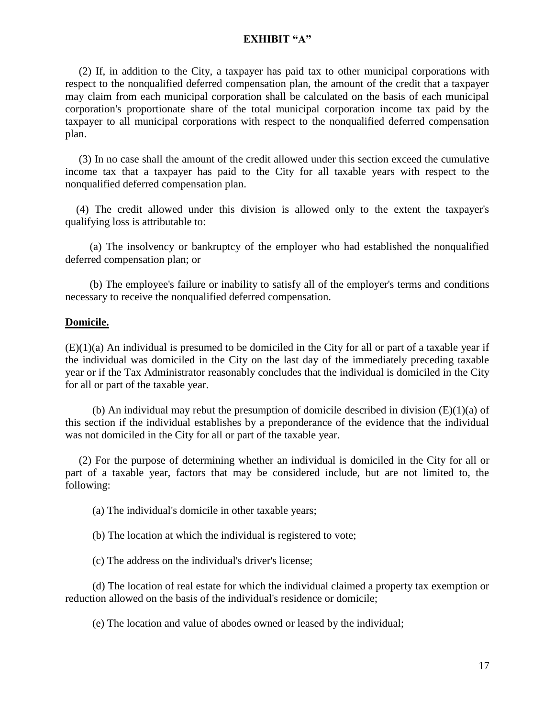(2) If, in addition to the City, a taxpayer has paid tax to other municipal corporations with respect to the nonqualified deferred compensation plan, the amount of the credit that a taxpayer may claim from each municipal corporation shall be calculated on the basis of each municipal corporation's proportionate share of the total municipal corporation income tax paid by the taxpayer to all municipal corporations with respect to the nonqualified deferred compensation plan.

 (3) In no case shall the amount of the credit allowed under this section exceed the cumulative income tax that a taxpayer has paid to the City for all taxable years with respect to the nonqualified deferred compensation plan.

 (4) The credit allowed under this division is allowed only to the extent the taxpayer's qualifying loss is attributable to:

 (a) The insolvency or bankruptcy of the employer who had established the nonqualified deferred compensation plan; or

 (b) The employee's failure or inability to satisfy all of the employer's terms and conditions necessary to receive the nonqualified deferred compensation.

#### **Domicile.**

(E)(1)(a) An individual is presumed to be domiciled in the City for all or part of a taxable year if the individual was domiciled in the City on the last day of the immediately preceding taxable year or if the Tax Administrator reasonably concludes that the individual is domiciled in the City for all or part of the taxable year.

(b) An individual may rebut the presumption of domicile described in division  $(E)(1)(a)$  of this section if the individual establishes by a preponderance of the evidence that the individual was not domiciled in the City for all or part of the taxable year.

 (2) For the purpose of determining whether an individual is domiciled in the City for all or part of a taxable year, factors that may be considered include, but are not limited to, the following:

(a) The individual's domicile in other taxable years;

(b) The location at which the individual is registered to vote;

(c) The address on the individual's driver's license;

 (d) The location of real estate for which the individual claimed a property tax exemption or reduction allowed on the basis of the individual's residence or domicile;

(e) The location and value of abodes owned or leased by the individual;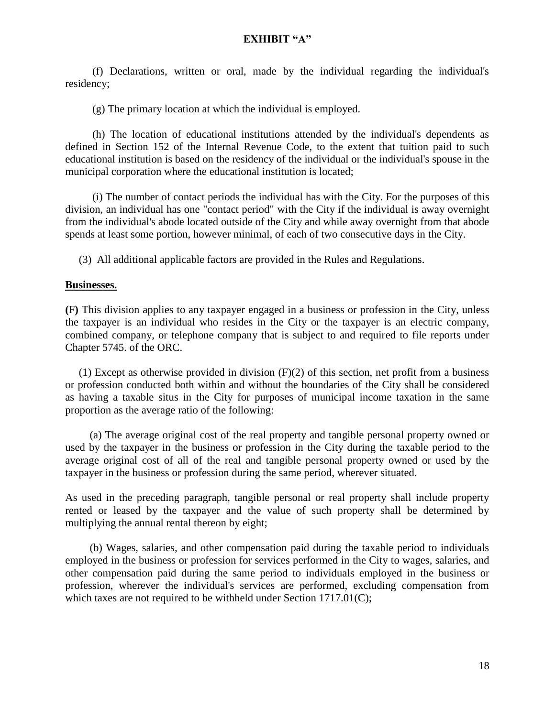(f) Declarations, written or oral, made by the individual regarding the individual's residency;

(g) The primary location at which the individual is employed.

 (h) The location of educational institutions attended by the individual's dependents as defined in Section 152 of the Internal Revenue Code, to the extent that tuition paid to such educational institution is based on the residency of the individual or the individual's spouse in the municipal corporation where the educational institution is located;

 (i) The number of contact periods the individual has with the City. For the purposes of this division, an individual has one "contact period" with the City if the individual is away overnight from the individual's abode located outside of the City and while away overnight from that abode spends at least some portion, however minimal, of each of two consecutive days in the City.

(3) All additional applicable factors are provided in the Rules and Regulations.

#### **Businesses.**

**(**F**)** This division applies to any taxpayer engaged in a business or profession in the City, unless the taxpayer is an individual who resides in the City or the taxpayer is an electric company, combined company, or telephone company that is subject to and required to file reports under Chapter 5745. of the ORC.

(1) Except as otherwise provided in division  $(F)(2)$  of this section, net profit from a business or profession conducted both within and without the boundaries of the City shall be considered as having a taxable situs in the City for purposes of municipal income taxation in the same proportion as the average ratio of the following:

 (a) The average original cost of the real property and tangible personal property owned or used by the taxpayer in the business or profession in the City during the taxable period to the average original cost of all of the real and tangible personal property owned or used by the taxpayer in the business or profession during the same period, wherever situated.

As used in the preceding paragraph, tangible personal or real property shall include property rented or leased by the taxpayer and the value of such property shall be determined by multiplying the annual rental thereon by eight;

 (b) Wages, salaries, and other compensation paid during the taxable period to individuals employed in the business or profession for services performed in the City to wages, salaries, and other compensation paid during the same period to individuals employed in the business or profession, wherever the individual's services are performed, excluding compensation from which taxes are not required to be withheld under Section 1717.01(C);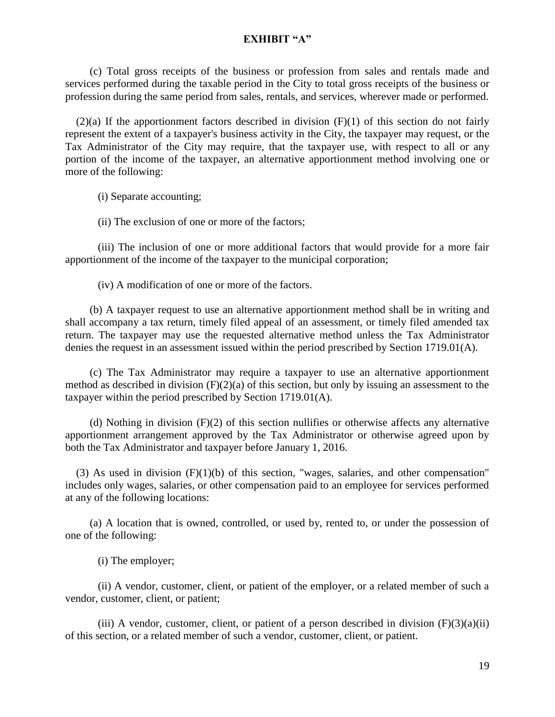(c) Total gross receipts of the business or profession from sales and rentals made and services performed during the taxable period in the City to total gross receipts of the business or profession during the same period from sales, rentals, and services, wherever made or performed.

 $(2)(a)$  If the apportionment factors described in division  $(F)(1)$  of this section do not fairly represent the extent of a taxpayer's business activity in the City, the taxpayer may request, or the Tax Administrator of the City may require, that the taxpayer use, with respect to all or any portion of the income of the taxpayer, an alternative apportionment method involving one or more of the following:

(i) Separate accounting;

(ii) The exclusion of one or more of the factors;

(iii) The inclusion of one or more additional factors that would provide for a more fair apportionment of the income of the taxpayer to the municipal corporation;

(iv) A modification of one or more of the factors.

 (b) A taxpayer request to use an alternative apportionment method shall be in writing and shall accompany a tax return, timely filed appeal of an assessment, or timely filed amended tax return. The taxpayer may use the requested alternative method unless the Tax Administrator denies the request in an assessment issued within the period prescribed by Section 1719.01(A).

 (c) The Tax Administrator may require a taxpayer to use an alternative apportionment method as described in division  $(F)(2)(a)$  of this section, but only by issuing an assessment to the taxpayer within the period prescribed by Section 1719.01(A).

(d) Nothing in division  $(F)(2)$  of this section nullifies or otherwise affects any alternative apportionment arrangement approved by the Tax Administrator or otherwise agreed upon by both the Tax Administrator and taxpayer before January 1, 2016.

(3) As used in division  $(F)(1)(b)$  of this section, "wages, salaries, and other compensation" includes only wages, salaries, or other compensation paid to an employee for services performed at any of the following locations:

 (a) A location that is owned, controlled, or used by, rented to, or under the possession of one of the following:

(i) The employer;

(ii) A vendor, customer, client, or patient of the employer, or a related member of such a vendor, customer, client, or patient;

(iii) A vendor, customer, client, or patient of a person described in division  $(F)(3)(a)(ii)$ of this section, or a related member of such a vendor, customer, client, or patient.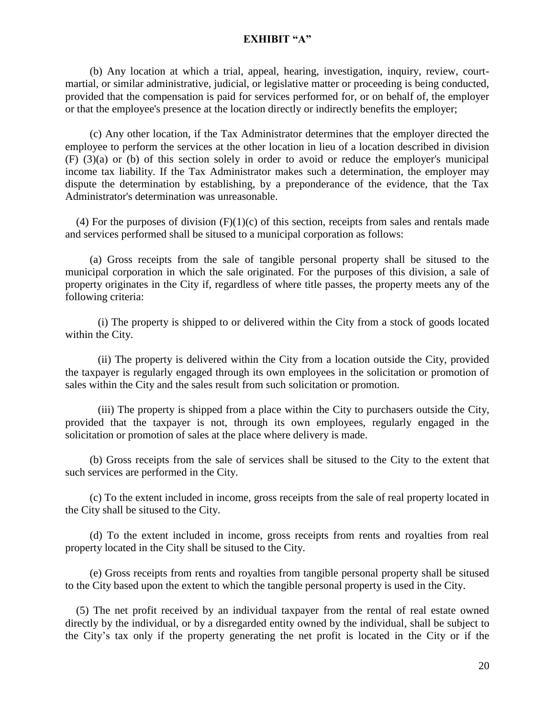(b) Any location at which a trial, appeal, hearing, investigation, inquiry, review, courtmartial, or similar administrative, judicial, or legislative matter or proceeding is being conducted, provided that the compensation is paid for services performed for, or on behalf of, the employer or that the employee's presence at the location directly or indirectly benefits the employer;

 (c) Any other location, if the Tax Administrator determines that the employer directed the employee to perform the services at the other location in lieu of a location described in division (F) (3)(a) or (b) of this section solely in order to avoid or reduce the employer's municipal income tax liability. If the Tax Administrator makes such a determination, the employer may dispute the determination by establishing, by a preponderance of the evidence, that the Tax Administrator's determination was unreasonable.

(4) For the purposes of division  $(F)(1)(c)$  of this section, receipts from sales and rentals made and services performed shall be sitused to a municipal corporation as follows:

 (a) Gross receipts from the sale of tangible personal property shall be sitused to the municipal corporation in which the sale originated. For the purposes of this division, a sale of property originates in the City if, regardless of where title passes, the property meets any of the following criteria:

(i) The property is shipped to or delivered within the City from a stock of goods located within the City.

(ii) The property is delivered within the City from a location outside the City, provided the taxpayer is regularly engaged through its own employees in the solicitation or promotion of sales within the City and the sales result from such solicitation or promotion.

(iii) The property is shipped from a place within the City to purchasers outside the City, provided that the taxpayer is not, through its own employees, regularly engaged in the solicitation or promotion of sales at the place where delivery is made.

 (b) Gross receipts from the sale of services shall be sitused to the City to the extent that such services are performed in the City.

 (c) To the extent included in income, gross receipts from the sale of real property located in the City shall be sitused to the City.

 (d) To the extent included in income, gross receipts from rents and royalties from real property located in the City shall be sitused to the City.

 (e) Gross receipts from rents and royalties from tangible personal property shall be sitused to the City based upon the extent to which the tangible personal property is used in the City.

 (5) The net profit received by an individual taxpayer from the rental of real estate owned directly by the individual, or by a disregarded entity owned by the individual, shall be subject to the City's tax only if the property generating the net profit is located in the City or if the

20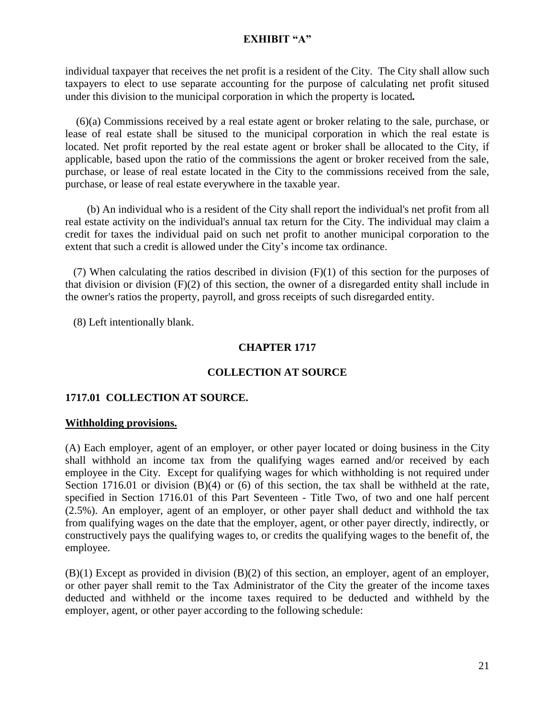individual taxpayer that receives the net profit is a resident of the City. The City shall allow such taxpayers to elect to use separate accounting for the purpose of calculating net profit sitused under this division to the municipal corporation in which the property is located*.* 

 (6)(a) Commissions received by a real estate agent or broker relating to the sale, purchase, or lease of real estate shall be sitused to the municipal corporation in which the real estate is located. Net profit reported by the real estate agent or broker shall be allocated to the City, if applicable, based upon the ratio of the commissions the agent or broker received from the sale, purchase, or lease of real estate located in the City to the commissions received from the sale, purchase, or lease of real estate everywhere in the taxable year.

 (b) An individual who is a resident of the City shall report the individual's net profit from all real estate activity on the individual's annual tax return for the City. The individual may claim a credit for taxes the individual paid on such net profit to another municipal corporation to the extent that such a credit is allowed under the City's income tax ordinance.

 (7) When calculating the ratios described in division (F)(1) of this section for the purposes of that division or division (F)(2) of this section, the owner of a disregarded entity shall include in the owner's ratios the property, payroll, and gross receipts of such disregarded entity.

(8) Left intentionally blank.

## **CHAPTER 1717**

## **COLLECTION AT SOURCE**

## **1717.01 COLLECTION AT SOURCE.**

## **Withholding provisions.**

(A) Each employer, agent of an employer, or other payer located or doing business in the City shall withhold an income tax from the qualifying wages earned and/or received by each employee in the City. Except for qualifying wages for which withholding is not required under Section 1716.01 or division (B)(4) or (6) of this section, the tax shall be withheld at the rate, specified in Section 1716.01 of this Part Seventeen - Title Two, of two and one half percent (2.5%). An employer, agent of an employer, or other payer shall deduct and withhold the tax from qualifying wages on the date that the employer, agent, or other payer directly, indirectly, or constructively pays the qualifying wages to, or credits the qualifying wages to the benefit of, the employee.

(B)(1) Except as provided in division (B)(2) of this section, an employer, agent of an employer, or other payer shall remit to the Tax Administrator of the City the greater of the income taxes deducted and withheld or the income taxes required to be deducted and withheld by the employer, agent, or other payer according to the following schedule: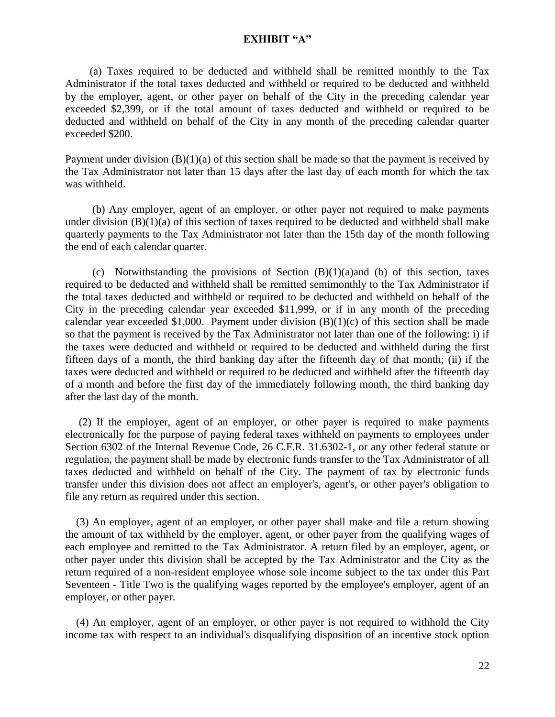(a) Taxes required to be deducted and withheld shall be remitted monthly to the Tax Administrator if the total taxes deducted and withheld or required to be deducted and withheld by the employer, agent, or other payer on behalf of the City in the preceding calendar year exceeded \$2,399, or if the total amount of taxes deducted and withheld or required to be deducted and withheld on behalf of the City in any month of the preceding calendar quarter exceeded \$200.

Payment under division  $(B)(1)(a)$  of this section shall be made so that the payment is received by the Tax Administrator not later than 15 days after the last day of each month for which the tax was withheld.

 (b) Any employer, agent of an employer, or other payer not required to make payments under division  $(B)(1)(a)$  of this section of taxes required to be deducted and withheld shall make quarterly payments to the Tax Administrator not later than the 15th day of the month following the end of each calendar quarter.

(c) Notwithstanding the provisions of Section  $(B)(1)(a)$  and (b) of this section, taxes required to be deducted and withheld shall be remitted semimonthly to the Tax Administrator if the total taxes deducted and withheld or required to be deducted and withheld on behalf of the City in the preceding calendar year exceeded \$11,999, or if in any month of the preceding calendar year exceeded \$1,000. Payment under division  $(B)(1)(c)$  of this section shall be made so that the payment is received by the Tax Administrator not later than one of the following: i) if the taxes were deducted and withheld or required to be deducted and withheld during the first fifteen days of a month, the third banking day after the fifteenth day of that month; (ii) if the taxes were deducted and withheld or required to be deducted and withheld after the fifteenth day of a month and before the first day of the immediately following month, the third banking day after the last day of the month.

 (2) If the employer, agent of an employer, or other payer is required to make payments electronically for the purpose of paying federal taxes withheld on payments to employees under Section 6302 of the Internal Revenue Code, 26 C.F.R. 31.6302-1, or any other federal statute or regulation, the payment shall be made by electronic funds transfer to the Tax Administrator of all taxes deducted and withheld on behalf of the City. The payment of tax by electronic funds transfer under this division does not affect an employer's, agent's, or other payer's obligation to file any return as required under this section.

 (3) An employer, agent of an employer, or other payer shall make and file a return showing the amount of tax withheld by the employer, agent, or other payer from the qualifying wages of each employee and remitted to the Tax Administrator. A return filed by an employer, agent, or other payer under this division shall be accepted by the Tax Administrator and the City as the return required of a non-resident employee whose sole income subject to the tax under this Part Seventeen - Title Two is the qualifying wages reported by the employee's employer, agent of an employer, or other payer.

 (4) An employer, agent of an employer, or other payer is not required to withhold the City income tax with respect to an individual's disqualifying disposition of an incentive stock option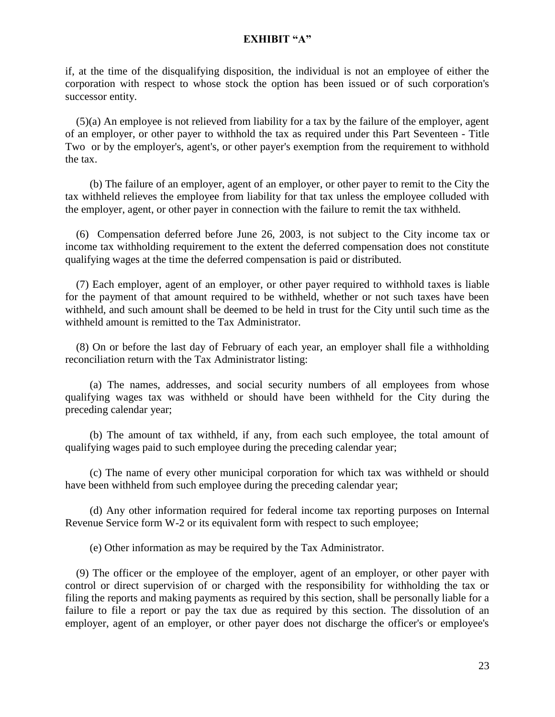if, at the time of the disqualifying disposition, the individual is not an employee of either the corporation with respect to whose stock the option has been issued or of such corporation's successor entity.

 (5)(a) An employee is not relieved from liability for a tax by the failure of the employer, agent of an employer, or other payer to withhold the tax as required under this Part Seventeen - Title Two or by the employer's, agent's, or other payer's exemption from the requirement to withhold the tax.

 (b) The failure of an employer, agent of an employer, or other payer to remit to the City the tax withheld relieves the employee from liability for that tax unless the employee colluded with the employer, agent, or other payer in connection with the failure to remit the tax withheld.

 (6) Compensation deferred before June 26, 2003, is not subject to the City income tax or income tax withholding requirement to the extent the deferred compensation does not constitute qualifying wages at the time the deferred compensation is paid or distributed.

 (7) Each employer, agent of an employer, or other payer required to withhold taxes is liable for the payment of that amount required to be withheld, whether or not such taxes have been withheld, and such amount shall be deemed to be held in trust for the City until such time as the withheld amount is remitted to the Tax Administrator.

 (8) On or before the last day of February of each year, an employer shall file a withholding reconciliation return with the Tax Administrator listing:

 (a) The names, addresses, and social security numbers of all employees from whose qualifying wages tax was withheld or should have been withheld for the City during the preceding calendar year;

 (b) The amount of tax withheld, if any, from each such employee, the total amount of qualifying wages paid to such employee during the preceding calendar year;

 (c) The name of every other municipal corporation for which tax was withheld or should have been withheld from such employee during the preceding calendar year;

 (d) Any other information required for federal income tax reporting purposes on Internal Revenue Service form W-2 or its equivalent form with respect to such employee;

(e) Other information as may be required by the Tax Administrator.

 (9) The officer or the employee of the employer, agent of an employer, or other payer with control or direct supervision of or charged with the responsibility for withholding the tax or filing the reports and making payments as required by this section, shall be personally liable for a failure to file a report or pay the tax due as required by this section. The dissolution of an employer, agent of an employer, or other payer does not discharge the officer's or employee's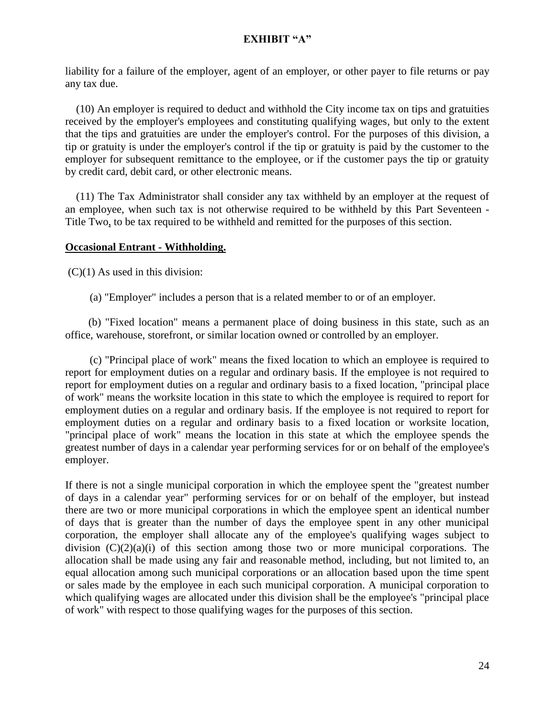liability for a failure of the employer, agent of an employer, or other payer to file returns or pay any tax due.

 (10) An employer is required to deduct and withhold the City income tax on tips and gratuities received by the employer's employees and constituting qualifying wages, but only to the extent that the tips and gratuities are under the employer's control. For the purposes of this division, a tip or gratuity is under the employer's control if the tip or gratuity is paid by the customer to the employer for subsequent remittance to the employee, or if the customer pays the tip or gratuity by credit card, debit card, or other electronic means.

 (11) The Tax Administrator shall consider any tax withheld by an employer at the request of an employee, when such tax is not otherwise required to be withheld by this Part Seventeen - Title Two, to be tax required to be withheld and remitted for the purposes of this section.

## **Occasional Entrant - Withholding.**

 $(C)(1)$  As used in this division:

(a) "Employer" includes a person that is a related member to or of an employer.

 (b) "Fixed location" means a permanent place of doing business in this state, such as an office, warehouse, storefront, or similar location owned or controlled by an employer.

 (c) "Principal place of work" means the fixed location to which an employee is required to report for employment duties on a regular and ordinary basis. If the employee is not required to report for employment duties on a regular and ordinary basis to a fixed location, "principal place of work" means the worksite location in this state to which the employee is required to report for employment duties on a regular and ordinary basis. If the employee is not required to report for employment duties on a regular and ordinary basis to a fixed location or worksite location, "principal place of work" means the location in this state at which the employee spends the greatest number of days in a calendar year performing services for or on behalf of the employee's employer.

If there is not a single municipal corporation in which the employee spent the "greatest number of days in a calendar year" performing services for or on behalf of the employer, but instead there are two or more municipal corporations in which the employee spent an identical number of days that is greater than the number of days the employee spent in any other municipal corporation, the employer shall allocate any of the employee's qualifying wages subject to division  $(C)(2)(a)(i)$  of this section among those two or more municipal corporations. The allocation shall be made using any fair and reasonable method, including, but not limited to, an equal allocation among such municipal corporations or an allocation based upon the time spent or sales made by the employee in each such municipal corporation. A municipal corporation to which qualifying wages are allocated under this division shall be the employee's "principal place of work" with respect to those qualifying wages for the purposes of this section.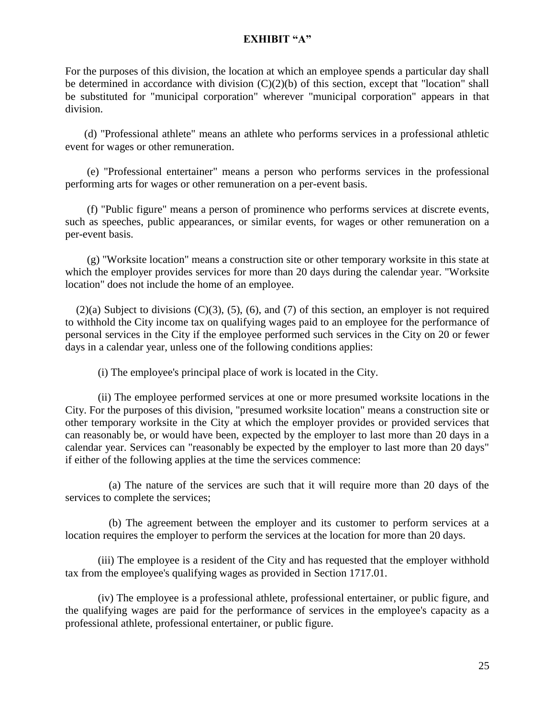For the purposes of this division, the location at which an employee spends a particular day shall be determined in accordance with division  $(C)(2)(b)$  of this section, except that "location" shall be substituted for "municipal corporation" wherever "municipal corporation" appears in that division.

 (d) "Professional athlete" means an athlete who performs services in a professional athletic event for wages or other remuneration.

 (e) "Professional entertainer" means a person who performs services in the professional performing arts for wages or other remuneration on a per-event basis.

 (f) "Public figure" means a person of prominence who performs services at discrete events, such as speeches, public appearances, or similar events, for wages or other remuneration on a per-event basis.

 (g) "Worksite location" means a construction site or other temporary worksite in this state at which the employer provides services for more than 20 days during the calendar year. "Worksite location" does not include the home of an employee.

 $(2)(a)$  Subject to divisions  $(C)(3)$ ,  $(5)$ ,  $(6)$ , and  $(7)$  of this section, an employer is not required to withhold the City income tax on qualifying wages paid to an employee for the performance of personal services in the City if the employee performed such services in the City on 20 or fewer days in a calendar year, unless one of the following conditions applies:

(i) The employee's principal place of work is located in the City.

(ii) The employee performed services at one or more presumed worksite locations in the City. For the purposes of this division, "presumed worksite location" means a construction site or other temporary worksite in the City at which the employer provides or provided services that can reasonably be, or would have been, expected by the employer to last more than 20 days in a calendar year. Services can "reasonably be expected by the employer to last more than 20 days" if either of the following applies at the time the services commence:

 (a) The nature of the services are such that it will require more than 20 days of the services to complete the services;

 (b) The agreement between the employer and its customer to perform services at a location requires the employer to perform the services at the location for more than 20 days.

(iii) The employee is a resident of the City and has requested that the employer withhold tax from the employee's qualifying wages as provided in Section 1717.01.

(iv) The employee is a professional athlete, professional entertainer, or public figure, and the qualifying wages are paid for the performance of services in the employee's capacity as a professional athlete, professional entertainer, or public figure.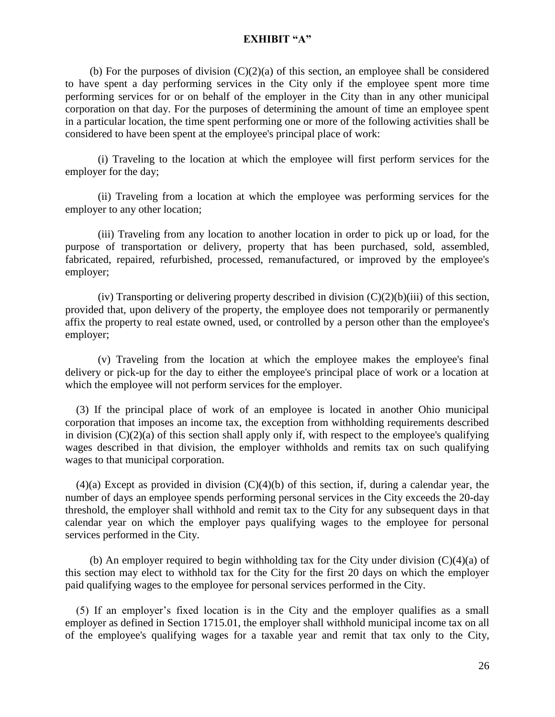(b) For the purposes of division  $(C)(2)(a)$  of this section, an employee shall be considered to have spent a day performing services in the City only if the employee spent more time performing services for or on behalf of the employer in the City than in any other municipal corporation on that day. For the purposes of determining the amount of time an employee spent in a particular location, the time spent performing one or more of the following activities shall be considered to have been spent at the employee's principal place of work:

(i) Traveling to the location at which the employee will first perform services for the employer for the day;

(ii) Traveling from a location at which the employee was performing services for the employer to any other location;

(iii) Traveling from any location to another location in order to pick up or load, for the purpose of transportation or delivery, property that has been purchased, sold, assembled, fabricated, repaired, refurbished, processed, remanufactured, or improved by the employee's employer;

(iv) Transporting or delivering property described in division  $(C)(2)(b)(iii)$  of this section, provided that, upon delivery of the property, the employee does not temporarily or permanently affix the property to real estate owned, used, or controlled by a person other than the employee's employer;

(v) Traveling from the location at which the employee makes the employee's final delivery or pick-up for the day to either the employee's principal place of work or a location at which the employee will not perform services for the employer.

 (3) If the principal place of work of an employee is located in another Ohio municipal corporation that imposes an income tax, the exception from withholding requirements described in division  $(C)(2)(a)$  of this section shall apply only if, with respect to the employee's qualifying wages described in that division, the employer withholds and remits tax on such qualifying wages to that municipal corporation.

 $(4)(a)$  Except as provided in division  $(C)(4)(b)$  of this section, if, during a calendar year, the number of days an employee spends performing personal services in the City exceeds the 20-day threshold, the employer shall withhold and remit tax to the City for any subsequent days in that calendar year on which the employer pays qualifying wages to the employee for personal services performed in the City.

(b) An employer required to begin withholding tax for the City under division  $(C)(4)(a)$  of this section may elect to withhold tax for the City for the first 20 days on which the employer paid qualifying wages to the employee for personal services performed in the City.

 (5) If an employer's fixed location is in the City and the employer qualifies as a small employer as defined in Section 1715.01, the employer shall withhold municipal income tax on all of the employee's qualifying wages for a taxable year and remit that tax only to the City,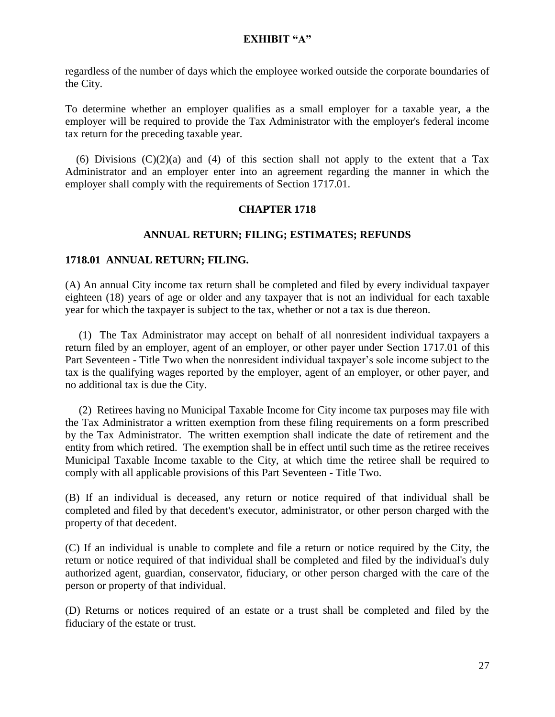regardless of the number of days which the employee worked outside the corporate boundaries of the City.

To determine whether an employer qualifies as a small employer for a taxable year, a the employer will be required to provide the Tax Administrator with the employer's federal income tax return for the preceding taxable year.

(6) Divisions  $(C)(2)(a)$  and  $(4)$  of this section shall not apply to the extent that a Tax Administrator and an employer enter into an agreement regarding the manner in which the employer shall comply with the requirements of Section 1717.01.

### **CHAPTER 1718**

#### **ANNUAL RETURN; FILING; ESTIMATES; REFUNDS**

#### **1718.01 ANNUAL RETURN; FILING.**

(A) An annual City income tax return shall be completed and filed by every individual taxpayer eighteen (18) years of age or older and any taxpayer that is not an individual for each taxable year for which the taxpayer is subject to the tax, whether or not a tax is due thereon.

(1) The Tax Administrator may accept on behalf of all nonresident individual taxpayers a return filed by an employer, agent of an employer, or other payer under Section 1717.01 of this Part Seventeen - Title Two when the nonresident individual taxpayer's sole income subject to the tax is the qualifying wages reported by the employer, agent of an employer, or other payer, and no additional tax is due the City.

 (2) Retirees having no Municipal Taxable Income for City income tax purposes may file with the Tax Administrator a written exemption from these filing requirements on a form prescribed by the Tax Administrator. The written exemption shall indicate the date of retirement and the entity from which retired. The exemption shall be in effect until such time as the retiree receives Municipal Taxable Income taxable to the City, at which time the retiree shall be required to comply with all applicable provisions of this Part Seventeen - Title Two.

(B) If an individual is deceased, any return or notice required of that individual shall be completed and filed by that decedent's executor, administrator, or other person charged with the property of that decedent.

(C) If an individual is unable to complete and file a return or notice required by the City, the return or notice required of that individual shall be completed and filed by the individual's duly authorized agent, guardian, conservator, fiduciary, or other person charged with the care of the person or property of that individual.

(D) Returns or notices required of an estate or a trust shall be completed and filed by the fiduciary of the estate or trust.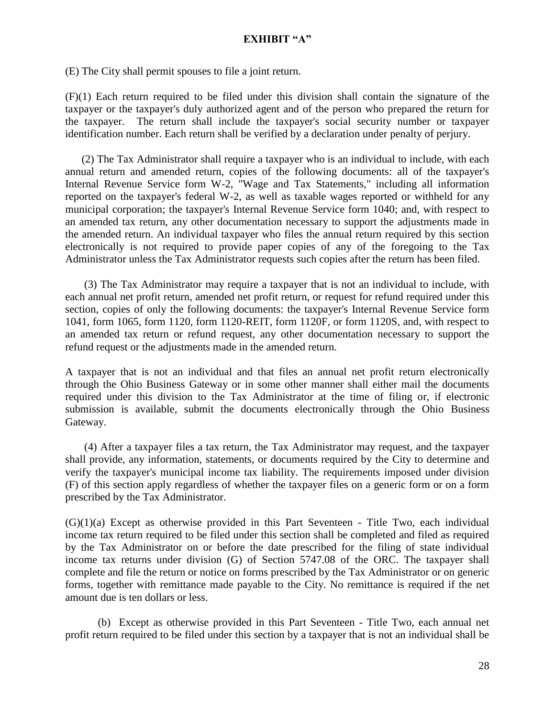(E) The City shall permit spouses to file a joint return.

(F)(1) Each return required to be filed under this division shall contain the signature of the taxpayer or the taxpayer's duly authorized agent and of the person who prepared the return for the taxpayer. The return shall include the taxpayer's social security number or taxpayer identification number. Each return shall be verified by a declaration under penalty of perjury.

 (2) The Tax Administrator shall require a taxpayer who is an individual to include, with each annual return and amended return, copies of the following documents: all of the taxpayer's Internal Revenue Service form W-2, "Wage and Tax Statements," including all information reported on the taxpayer's federal W-2, as well as taxable wages reported or withheld for any municipal corporation; the taxpayer's Internal Revenue Service form 1040; and, with respect to an amended tax return, any other documentation necessary to support the adjustments made in the amended return. An individual taxpayer who files the annual return required by this section electronically is not required to provide paper copies of any of the foregoing to the Tax Administrator unless the Tax Administrator requests such copies after the return has been filed.

 (3) The Tax Administrator may require a taxpayer that is not an individual to include, with each annual net profit return, amended net profit return, or request for refund required under this section, copies of only the following documents: the taxpayer's Internal Revenue Service form 1041, form 1065, form 1120, form 1120-REIT, form 1120F, or form 1120S, and, with respect to an amended tax return or refund request, any other documentation necessary to support the refund request or the adjustments made in the amended return.

A taxpayer that is not an individual and that files an annual net profit return electronically through the Ohio Business Gateway or in some other manner shall either mail the documents required under this division to the Tax Administrator at the time of filing or, if electronic submission is available, submit the documents electronically through the Ohio Business Gateway.

 (4) After a taxpayer files a tax return, the Tax Administrator may request, and the taxpayer shall provide, any information, statements, or documents required by the City to determine and verify the taxpayer's municipal income tax liability. The requirements imposed under division (F) of this section apply regardless of whether the taxpayer files on a generic form or on a form prescribed by the Tax Administrator.

 $(G)(1)(a)$  Except as otherwise provided in this Part Seventeen - Title Two, each individual income tax return required to be filed under this section shall be completed and filed as required by the Tax Administrator on or before the date prescribed for the filing of state individual income tax returns under division (G) of Section [5747.08](http://codes.ohio.gov/orc/5747.08) of the ORC. The taxpayer shall complete and file the return or notice on forms prescribed by the Tax Administrator or on generic forms, together with remittance made payable to the City. No remittance is required if the net amount due is ten dollars or less.

(b) Except as otherwise provided in this Part Seventeen - Title Two, each annual net profit return required to be filed under this section by a taxpayer that is not an individual shall be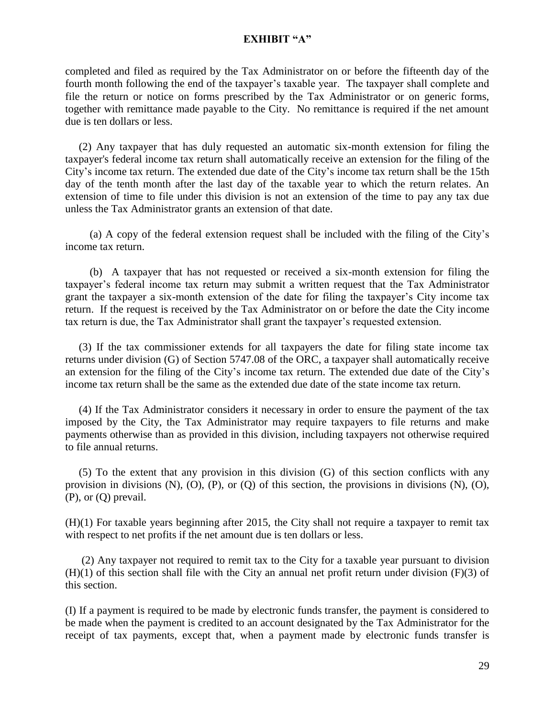completed and filed as required by the Tax Administrator on or before the fifteenth day of the fourth month following the end of the taxpayer's taxable year. The taxpayer shall complete and file the return or notice on forms prescribed by the Tax Administrator or on generic forms, together with remittance made payable to the City. No remittance is required if the net amount due is ten dollars or less.

 (2) Any taxpayer that has duly requested an automatic six-month extension for filing the taxpayer's federal income tax return shall automatically receive an extension for the filing of the City's income tax return. The extended due date of the City's income tax return shall be the 15th day of the tenth month after the last day of the taxable year to which the return relates. An extension of time to file under this division is not an extension of the time to pay any tax due unless the Tax Administrator grants an extension of that date.

 (a) A copy of the federal extension request shall be included with the filing of the City's income tax return.

 (b) A taxpayer that has not requested or received a six-month extension for filing the taxpayer's federal income tax return may submit a written request that the Tax Administrator grant the taxpayer a six-month extension of the date for filing the taxpayer's City income tax return. If the request is received by the Tax Administrator on or before the date the City income tax return is due, the Tax Administrator shall grant the taxpayer's requested extension.

 (3) If the tax commissioner extends for all taxpayers the date for filing state income tax returns under division (G) of Section [5747.08](http://codes.ohio.gov/orc/5747.08) of the ORC, a taxpayer shall automatically receive an extension for the filing of the City's income tax return. The extended due date of the City's income tax return shall be the same as the extended due date of the state income tax return.

 (4) If the Tax Administrator considers it necessary in order to ensure the payment of the tax imposed by the City, the Tax Administrator may require taxpayers to file returns and make payments otherwise than as provided in this division, including taxpayers not otherwise required to file annual returns.

 (5) To the extent that any provision in this division (G) of this section conflicts with any provision in divisions (N), (O), (P), or (Q) of this section, the provisions in divisions (N), (O), (P), or (Q) prevail.

(H)(1) For taxable years beginning after 2015, the City shall not require a taxpayer to remit tax with respect to net profits if the net amount due is ten dollars or less.

 (2) Any taxpayer not required to remit tax to the City for a taxable year pursuant to division  $(H)(1)$  of this section shall file with the City an annual net profit return under division  $(F)(3)$  of this section.

(I) If a payment is required to be made by electronic funds transfer, the payment is considered to be made when the payment is credited to an account designated by the Tax Administrator for the receipt of tax payments, except that, when a payment made by electronic funds transfer is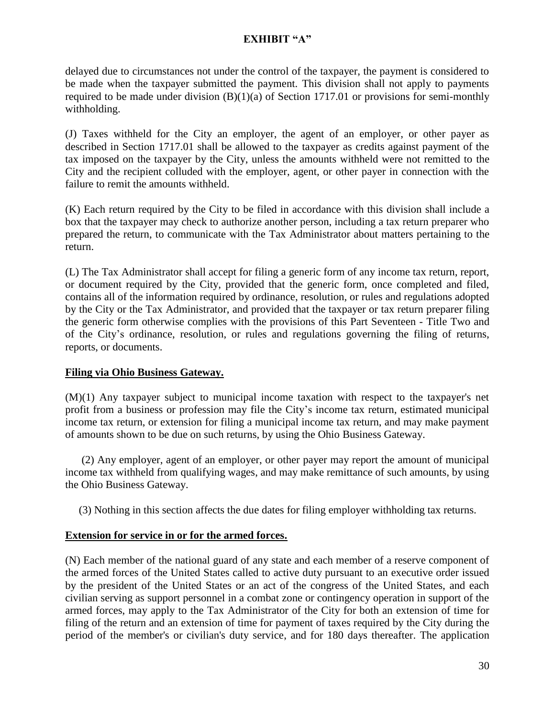delayed due to circumstances not under the control of the taxpayer, the payment is considered to be made when the taxpayer submitted the payment. This division shall not apply to payments required to be made under division  $(B)(1)(a)$  of Section 1717.01 or provisions for semi-monthly withholding.

(J) Taxes withheld for the City an employer, the agent of an employer, or other payer as described in Section 1717.01 shall be allowed to the taxpayer as credits against payment of the tax imposed on the taxpayer by the City, unless the amounts withheld were not remitted to the City and the recipient colluded with the employer, agent, or other payer in connection with the failure to remit the amounts withheld.

(K) Each return required by the City to be filed in accordance with this division shall include a box that the taxpayer may check to authorize another person, including a tax return preparer who prepared the return, to communicate with the Tax Administrator about matters pertaining to the return.

(L) The Tax Administrator shall accept for filing a generic form of any income tax return, report, or document required by the City, provided that the generic form, once completed and filed, contains all of the information required by ordinance, resolution, or rules and regulations adopted by the City or the Tax Administrator, and provided that the taxpayer or tax return preparer filing the generic form otherwise complies with the provisions of this Part Seventeen - Title Two and of the City's ordinance, resolution, or rules and regulations governing the filing of returns, reports, or documents.

## **Filing via Ohio Business Gateway.**

(M)(1) Any taxpayer subject to municipal income taxation with respect to the taxpayer's net profit from a business or profession may file the City's income tax return, estimated municipal income tax return, or extension for filing a municipal income tax return, and may make payment of amounts shown to be due on such returns, by using the Ohio Business Gateway.

 (2) Any employer, agent of an employer, or other payer may report the amount of municipal income tax withheld from qualifying wages, and may make remittance of such amounts, by using the Ohio Business Gateway.

(3) Nothing in this section affects the due dates for filing employer withholding tax returns.

## **Extension for service in or for the armed forces.**

(N) Each member of the national guard of any state and each member of a reserve component of the armed forces of the United States called to active duty pursuant to an executive order issued by the president of the United States or an act of the congress of the United States, and each civilian serving as support personnel in a combat zone or contingency operation in support of the armed forces, may apply to the Tax Administrator of the City for both an extension of time for filing of the return and an extension of time for payment of taxes required by the City during the period of the member's or civilian's duty service, and for 180 days thereafter. The application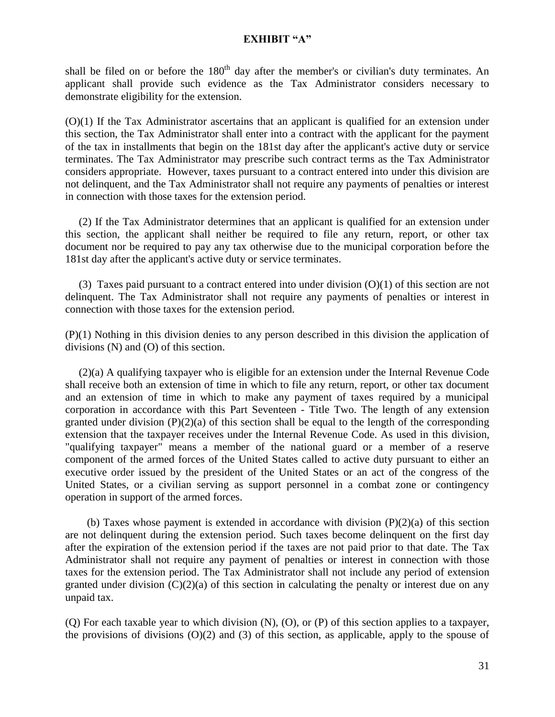shall be filed on or before the  $180<sup>th</sup>$  day after the member's or civilian's duty terminates. An applicant shall provide such evidence as the Tax Administrator considers necessary to demonstrate eligibility for the extension.

(O)(1) If the Tax Administrator ascertains that an applicant is qualified for an extension under this section, the Tax Administrator shall enter into a contract with the applicant for the payment of the tax in installments that begin on the 181st day after the applicant's active duty or service terminates. The Tax Administrator may prescribe such contract terms as the Tax Administrator considers appropriate. However, taxes pursuant to a contract entered into under this division are not delinquent, and the Tax Administrator shall not require any payments of penalties or interest in connection with those taxes for the extension period.

 (2) If the Tax Administrator determines that an applicant is qualified for an extension under this section, the applicant shall neither be required to file any return, report, or other tax document nor be required to pay any tax otherwise due to the municipal corporation before the 181st day after the applicant's active duty or service terminates.

(3) Taxes paid pursuant to a contract entered into under division  $(O)(1)$  of this section are not delinquent. The Tax Administrator shall not require any payments of penalties or interest in connection with those taxes for the extension period.

(P)(1) Nothing in this division denies to any person described in this division the application of divisions (N) and (O) of this section.

 (2)(a) A qualifying taxpayer who is eligible for an extension under the Internal Revenue Code shall receive both an extension of time in which to file any return, report, or other tax document and an extension of time in which to make any payment of taxes required by a municipal corporation in accordance with this Part Seventeen - Title Two. The length of any extension granted under division  $(P)(2)(a)$  of this section shall be equal to the length of the corresponding extension that the taxpayer receives under the Internal Revenue Code. As used in this division, "qualifying taxpayer" means a member of the national guard or a member of a reserve component of the armed forces of the United States called to active duty pursuant to either an executive order issued by the president of the United States or an act of the congress of the United States, or a civilian serving as support personnel in a combat zone or contingency operation in support of the armed forces.

(b) Taxes whose payment is extended in accordance with division  $(P)(2)(a)$  of this section are not delinquent during the extension period. Such taxes become delinquent on the first day after the expiration of the extension period if the taxes are not paid prior to that date. The Tax Administrator shall not require any payment of penalties or interest in connection with those taxes for the extension period. The Tax Administrator shall not include any period of extension granted under division  $(C)(2)(a)$  of this section in calculating the penalty or interest due on any unpaid tax.

(Q) For each taxable year to which division (N), (O), or (P) of this section applies to a taxpayer, the provisions of divisions  $(O)(2)$  and  $(3)$  of this section, as applicable, apply to the spouse of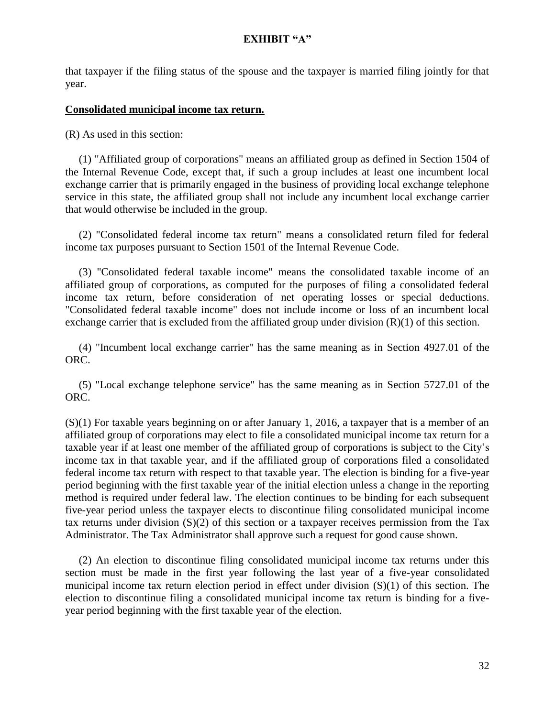that taxpayer if the filing status of the spouse and the taxpayer is married filing jointly for that year.

#### **Consolidated municipal income tax return.**

(R) As used in this section:

 (1) "Affiliated group of corporations" means an affiliated group as defined in Section 1504 of the Internal Revenue Code, except that, if such a group includes at least one incumbent local exchange carrier that is primarily engaged in the business of providing local exchange telephone service in this state, the affiliated group shall not include any incumbent local exchange carrier that would otherwise be included in the group.

 (2) "Consolidated federal income tax return" means a consolidated return filed for federal income tax purposes pursuant to Section 1501 of the Internal Revenue Code.

 (3) "Consolidated federal taxable income" means the consolidated taxable income of an affiliated group of corporations, as computed for the purposes of filing a consolidated federal income tax return, before consideration of net operating losses or special deductions. "Consolidated federal taxable income" does not include income or loss of an incumbent local exchange carrier that is excluded from the affiliated group under division  $(R)(1)$  of this section.

 (4) "Incumbent local exchange carrier" has the same meaning as in Section [4927.01](http://codes.ohio.gov/orc/4927.01) of the ORC.

 (5) "Local exchange telephone service" has the same meaning as in Section [5727.01](http://codes.ohio.gov/orc/5727.01) of the ORC.

(S)(1) For taxable years beginning on or after January 1, 2016, a taxpayer that is a member of an affiliated group of corporations may elect to file a consolidated municipal income tax return for a taxable year if at least one member of the affiliated group of corporations is subject to the City's income tax in that taxable year, and if the affiliated group of corporations filed a consolidated federal income tax return with respect to that taxable year. The election is binding for a five-year period beginning with the first taxable year of the initial election unless a change in the reporting method is required under federal law. The election continues to be binding for each subsequent five-year period unless the taxpayer elects to discontinue filing consolidated municipal income tax returns under division (S)(2) of this section or a taxpayer receives permission from the Tax Administrator. The Tax Administrator shall approve such a request for good cause shown.

 (2) An election to discontinue filing consolidated municipal income tax returns under this section must be made in the first year following the last year of a five-year consolidated municipal income tax return election period in effect under division (S)(1) of this section. The election to discontinue filing a consolidated municipal income tax return is binding for a fiveyear period beginning with the first taxable year of the election.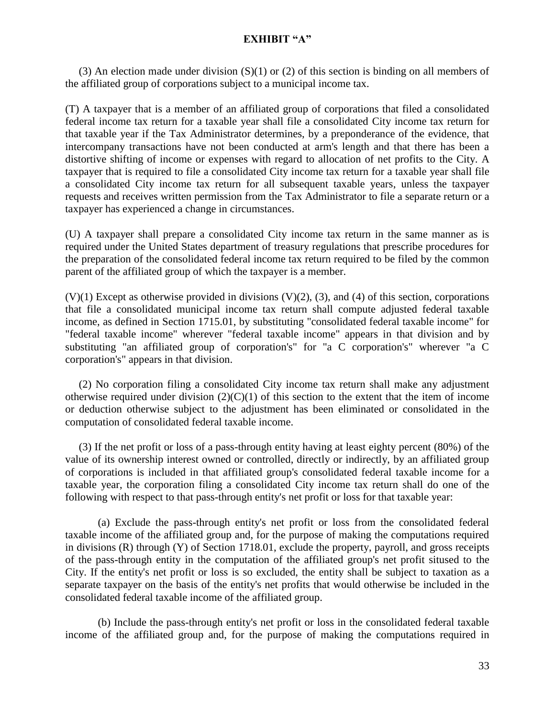(3) An election made under division  $(S)(1)$  or (2) of this section is binding on all members of the affiliated group of corporations subject to a municipal income tax.

(T) A taxpayer that is a member of an affiliated group of corporations that filed a consolidated federal income tax return for a taxable year shall file a consolidated City income tax return for that taxable year if the Tax Administrator determines, by a preponderance of the evidence, that intercompany transactions have not been conducted at arm's length and that there has been a distortive shifting of income or expenses with regard to allocation of net profits to the City. A taxpayer that is required to file a consolidated City income tax return for a taxable year shall file a consolidated City income tax return for all subsequent taxable years, unless the taxpayer requests and receives written permission from the Tax Administrator to file a separate return or a taxpayer has experienced a change in circumstances.

(U) A taxpayer shall prepare a consolidated City income tax return in the same manner as is required under the United States department of treasury regulations that prescribe procedures for the preparation of the consolidated federal income tax return required to be filed by the common parent of the affiliated group of which the taxpayer is a member.

 $(V)(1)$  Except as otherwise provided in divisions  $(V)(2)$ ,  $(3)$ , and  $(4)$  of this section, corporations that file a consolidated municipal income tax return shall compute adjusted federal taxable income, as defined in Section 1715.01, by substituting "consolidated federal taxable income" for "federal taxable income" wherever "federal taxable income" appears in that division and by substituting "an affiliated group of corporation's" for "a C corporation's" wherever "a C corporation's" appears in that division.

 (2) No corporation filing a consolidated City income tax return shall make any adjustment otherwise required under division  $(2)(C)(1)$  of this section to the extent that the item of income or deduction otherwise subject to the adjustment has been eliminated or consolidated in the computation of consolidated federal taxable income.

 (3) If the net profit or loss of a pass-through entity having at least eighty percent (80%) of the value of its ownership interest owned or controlled, directly or indirectly, by an affiliated group of corporations is included in that affiliated group's consolidated federal taxable income for a taxable year, the corporation filing a consolidated City income tax return shall do one of the following with respect to that pass-through entity's net profit or loss for that taxable year:

(a) Exclude the pass-through entity's net profit or loss from the consolidated federal taxable income of the affiliated group and, for the purpose of making the computations required in divisions (R) through (Y) of Section 1718.01, exclude the property, payroll, and gross receipts of the pass-through entity in the computation of the affiliated group's net profit sitused to the City. If the entity's net profit or loss is so excluded, the entity shall be subject to taxation as a separate taxpayer on the basis of the entity's net profits that would otherwise be included in the consolidated federal taxable income of the affiliated group.

(b) Include the pass-through entity's net profit or loss in the consolidated federal taxable income of the affiliated group and, for the purpose of making the computations required in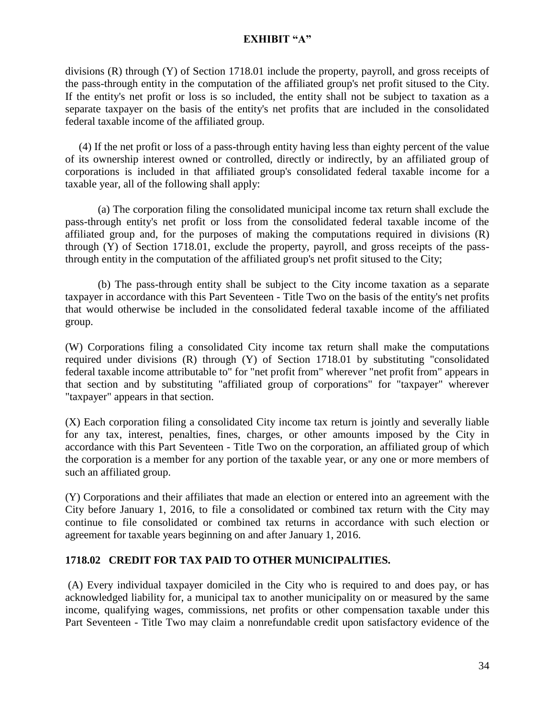divisions (R) through (Y) of Section 1718.01 include the property, payroll, and gross receipts of the pass-through entity in the computation of the affiliated group's net profit sitused to the City. If the entity's net profit or loss is so included, the entity shall not be subject to taxation as a separate taxpayer on the basis of the entity's net profits that are included in the consolidated federal taxable income of the affiliated group.

 (4) If the net profit or loss of a pass-through entity having less than eighty percent of the value of its ownership interest owned or controlled, directly or indirectly, by an affiliated group of corporations is included in that affiliated group's consolidated federal taxable income for a taxable year, all of the following shall apply:

(a) The corporation filing the consolidated municipal income tax return shall exclude the pass-through entity's net profit or loss from the consolidated federal taxable income of the affiliated group and, for the purposes of making the computations required in divisions (R) through (Y) of Section 1718.01, exclude the property, payroll, and gross receipts of the passthrough entity in the computation of the affiliated group's net profit sitused to the City;

(b) The pass-through entity shall be subject to the City income taxation as a separate taxpayer in accordance with this Part Seventeen - Title Two on the basis of the entity's net profits that would otherwise be included in the consolidated federal taxable income of the affiliated group.

(W) Corporations filing a consolidated City income tax return shall make the computations required under divisions (R) through (Y) of Section 1718.01 by substituting "consolidated federal taxable income attributable to" for "net profit from" wherever "net profit from" appears in that section and by substituting "affiliated group of corporations" for "taxpayer" wherever "taxpayer" appears in that section.

(X) Each corporation filing a consolidated City income tax return is jointly and severally liable for any tax, interest, penalties, fines, charges, or other amounts imposed by the City in accordance with this Part Seventeen - Title Two on the corporation, an affiliated group of which the corporation is a member for any portion of the taxable year, or any one or more members of such an affiliated group.

(Y) Corporations and their affiliates that made an election or entered into an agreement with the City before January 1, 2016, to file a consolidated or combined tax return with the City may continue to file consolidated or combined tax returns in accordance with such election or agreement for taxable years beginning on and after January 1, 2016.

# **1718.02 CREDIT FOR TAX PAID TO OTHER MUNICIPALITIES.**

(A) Every individual taxpayer domiciled in the City who is required to and does pay, or has acknowledged liability for, a municipal tax to another municipality on or measured by the same income, qualifying wages, commissions, net profits or other compensation taxable under this Part Seventeen - Title Two may claim a nonrefundable credit upon satisfactory evidence of the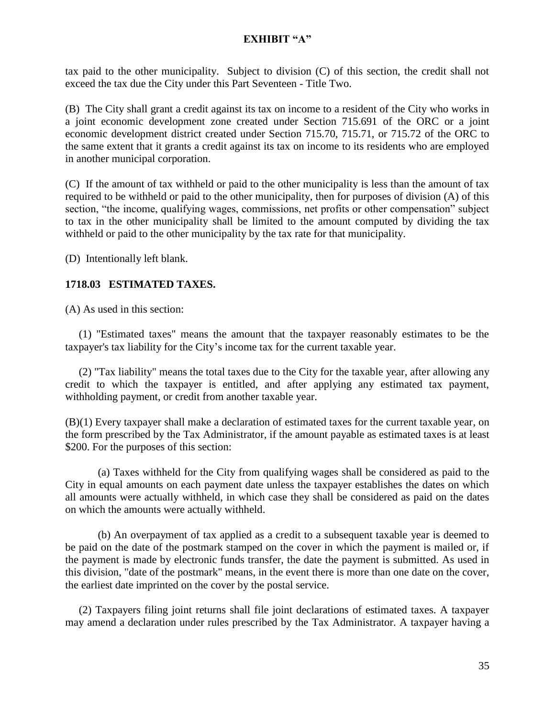tax paid to the other municipality. Subject to division (C) of this section, the credit shall not exceed the tax due the City under this Part Seventeen - Title Two.

(B) The City shall grant a credit against its tax on income to a resident of the City who works in a joint economic development zone created under Section 715.691 of the ORC or a joint economic development district created under Section 715.70, 715.71, or 715.72 of the ORC to the same extent that it grants a credit against its tax on income to its residents who are employed in another municipal corporation.

(C) If the amount of tax withheld or paid to the other municipality is less than the amount of tax required to be withheld or paid to the other municipality, then for purposes of division (A) of this section, "the income, qualifying wages, commissions, net profits or other compensation" subject to tax in the other municipality shall be limited to the amount computed by dividing the tax withheld or paid to the other municipality by the tax rate for that municipality.

(D) Intentionally left blank.

## **1718.03 ESTIMATED TAXES.**

(A) As used in this section:

 (1) "Estimated taxes" means the amount that the taxpayer reasonably estimates to be the taxpayer's tax liability for the City's income tax for the current taxable year.

 (2) "Tax liability" means the total taxes due to the City for the taxable year, after allowing any credit to which the taxpayer is entitled, and after applying any estimated tax payment, withholding payment, or credit from another taxable year.

(B)(1) Every taxpayer shall make a declaration of estimated taxes for the current taxable year, on the form prescribed by the Tax Administrator, if the amount payable as estimated taxes is at least \$200. For the purposes of this section:

(a) Taxes withheld for the City from qualifying wages shall be considered as paid to the City in equal amounts on each payment date unless the taxpayer establishes the dates on which all amounts were actually withheld, in which case they shall be considered as paid on the dates on which the amounts were actually withheld.

(b) An overpayment of tax applied as a credit to a subsequent taxable year is deemed to be paid on the date of the postmark stamped on the cover in which the payment is mailed or, if the payment is made by electronic funds transfer, the date the payment is submitted. As used in this division, "date of the postmark" means, in the event there is more than one date on the cover, the earliest date imprinted on the cover by the postal service.

 (2) Taxpayers filing joint returns shall file joint declarations of estimated taxes. A taxpayer may amend a declaration under rules prescribed by the Tax Administrator. A taxpayer having a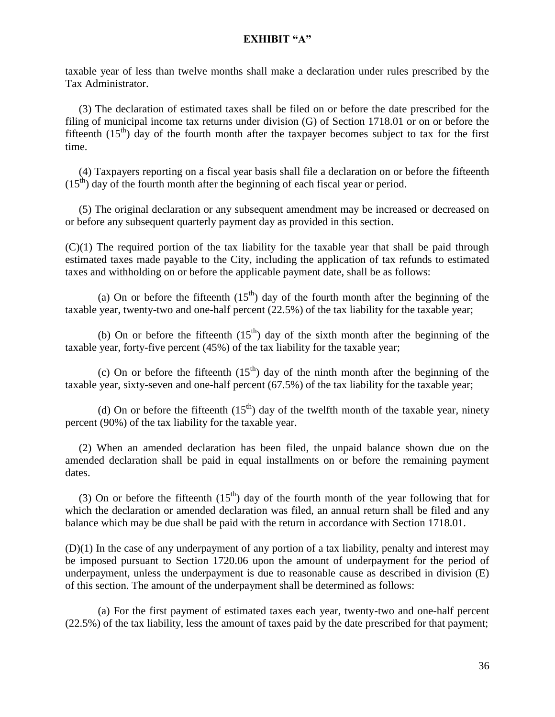taxable year of less than twelve months shall make a declaration under rules prescribed by the Tax Administrator.

 (3) The declaration of estimated taxes shall be filed on or before the date prescribed for the filing of municipal income tax returns under division (G) of Section 1718.01 or on or before the fifteenth  $(15<sup>th</sup>)$  day of the fourth month after the taxpayer becomes subject to tax for the first time.

 (4) Taxpayers reporting on a fiscal year basis shall file a declaration on or before the fifteenth  $(15<sup>th</sup>)$  day of the fourth month after the beginning of each fiscal year or period.

 (5) The original declaration or any subsequent amendment may be increased or decreased on or before any subsequent quarterly payment day as provided in this section.

(C)(1) The required portion of the tax liability for the taxable year that shall be paid through estimated taxes made payable to the City, including the application of tax refunds to estimated taxes and withholding on or before the applicable payment date, shall be as follows:

(a) On or before the fifteenth  $(15<sup>th</sup>)$  day of the fourth month after the beginning of the taxable year, twenty-two and one-half percent (22.5%) of the tax liability for the taxable year;

(b) On or before the fifteenth  $(15<sup>th</sup>)$  day of the sixth month after the beginning of the taxable year, forty-five percent (45%) of the tax liability for the taxable year;

(c) On or before the fifteenth  $(15<sup>th</sup>)$  day of the ninth month after the beginning of the taxable year, sixty-seven and one-half percent (67.5%) of the tax liability for the taxable year;

(d) On or before the fifteenth  $(15<sup>th</sup>)$  day of the twelfth month of the taxable year, ninety percent (90%) of the tax liability for the taxable year.

 (2) When an amended declaration has been filed, the unpaid balance shown due on the amended declaration shall be paid in equal installments on or before the remaining payment dates.

(3) On or before the fifteenth  $(15<sup>th</sup>)$  day of the fourth month of the year following that for which the declaration or amended declaration was filed, an annual return shall be filed and any balance which may be due shall be paid with the return in accordance with Section [1718.01](http://codes.ohio.gov/orc/718.05).

(D)(1) In the case of any underpayment of any portion of a tax liability, penalty and interest may be imposed pursuant to Section 1720.06 upon the amount of underpayment for the period of underpayment, unless the underpayment is due to reasonable cause as described in division (E) of this section. The amount of the underpayment shall be determined as follows:

(a) For the first payment of estimated taxes each year, twenty-two and one-half percent (22.5%) of the tax liability, less the amount of taxes paid by the date prescribed for that payment;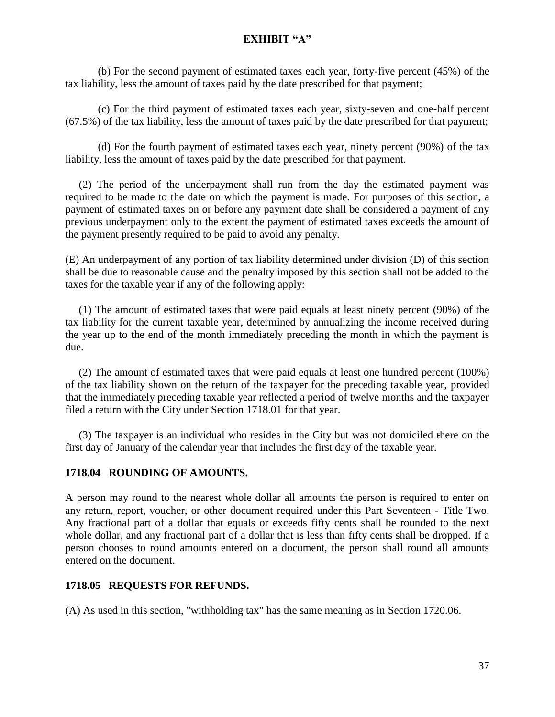(b) For the second payment of estimated taxes each year, forty-five percent (45%) of the tax liability, less the amount of taxes paid by the date prescribed for that payment;

(c) For the third payment of estimated taxes each year, sixty-seven and one-half percent (67.5%) of the tax liability, less the amount of taxes paid by the date prescribed for that payment;

(d) For the fourth payment of estimated taxes each year, ninety percent (90%) of the tax liability, less the amount of taxes paid by the date prescribed for that payment.

 (2) The period of the underpayment shall run from the day the estimated payment was required to be made to the date on which the payment is made. For purposes of this section, a payment of estimated taxes on or before any payment date shall be considered a payment of any previous underpayment only to the extent the payment of estimated taxes exceeds the amount of the payment presently required to be paid to avoid any penalty.

(E) An underpayment of any portion of tax liability determined under division (D) of this section shall be due to reasonable cause and the penalty imposed by this section shall not be added to the taxes for the taxable year if any of the following apply:

 (1) The amount of estimated taxes that were paid equals at least ninety percent (90%) of the tax liability for the current taxable year, determined by annualizing the income received during the year up to the end of the month immediately preceding the month in which the payment is due.

 (2) The amount of estimated taxes that were paid equals at least one hundred percent (100%) of the tax liability shown on the return of the taxpayer for the preceding taxable year, provided that the immediately preceding taxable year reflected a period of twelve months and the taxpayer filed a return with the City under Section 1718.01 for that year.

 (3) The taxpayer is an individual who resides in the City but was not domiciled there on the first day of January of the calendar year that includes the first day of the taxable year.

### **1718.04 ROUNDING OF AMOUNTS.**

A person may round to the nearest whole dollar all amounts the person is required to enter on any return, report, voucher, or other document required under this Part Seventeen - Title Two. Any fractional part of a dollar that equals or exceeds fifty cents shall be rounded to the next whole dollar, and any fractional part of a dollar that is less than fifty cents shall be dropped. If a person chooses to round amounts entered on a document, the person shall round all amounts entered on the document.

### **1718.05 REQUESTS FOR REFUNDS.**

(A) As used in this section, "withholding tax" has the same meaning as in Section 1720.06.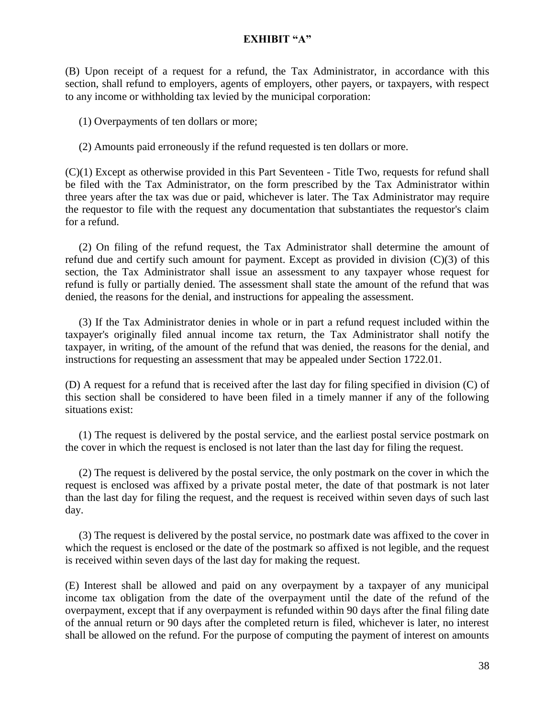(B) Upon receipt of a request for a refund, the Tax Administrator, in accordance with this section, shall refund to employers, agents of employers, other payers, or taxpayers, with respect to any income or withholding tax levied by the municipal corporation:

(1) Overpayments of ten dollars or more;

#### (2) Amounts paid erroneously if the refund requested is ten dollars or more.

(C)(1) Except as otherwise provided in this Part Seventeen - Title Two, requests for refund shall be filed with the Tax Administrator, on the form prescribed by the Tax Administrator within three years after the tax was due or paid, whichever is later. The Tax Administrator may require the requestor to file with the request any documentation that substantiates the requestor's claim for a refund.

 (2) On filing of the refund request, the Tax Administrator shall determine the amount of refund due and certify such amount for payment. Except as provided in division  $(C)(3)$  of this section, the Tax Administrator shall issue an assessment to any taxpayer whose request for refund is fully or partially denied. The assessment shall state the amount of the refund that was denied, the reasons for the denial, and instructions for appealing the assessment.

 (3) If the Tax Administrator denies in whole or in part a refund request included within the taxpayer's originally filed annual income tax return, the Tax Administrator shall notify the taxpayer, in writing, of the amount of the refund that was denied, the reasons for the denial, and instructions for requesting an assessment that may be appealed under Section 1722.01.

(D) A request for a refund that is received after the last day for filing specified in division (C) of this section shall be considered to have been filed in a timely manner if any of the following situations exist:

 (1) The request is delivered by the postal service, and the earliest postal service postmark on the cover in which the request is enclosed is not later than the last day for filing the request.

 (2) The request is delivered by the postal service, the only postmark on the cover in which the request is enclosed was affixed by a private postal meter, the date of that postmark is not later than the last day for filing the request, and the request is received within seven days of such last day.

 (3) The request is delivered by the postal service, no postmark date was affixed to the cover in which the request is enclosed or the date of the postmark so affixed is not legible, and the request is received within seven days of the last day for making the request.

(E) Interest shall be allowed and paid on any overpayment by a taxpayer of any municipal income tax obligation from the date of the overpayment until the date of the refund of the overpayment, except that if any overpayment is refunded within 90 days after the final filing date of the annual return or 90 days after the completed return is filed, whichever is later, no interest shall be allowed on the refund. For the purpose of computing the payment of interest on amounts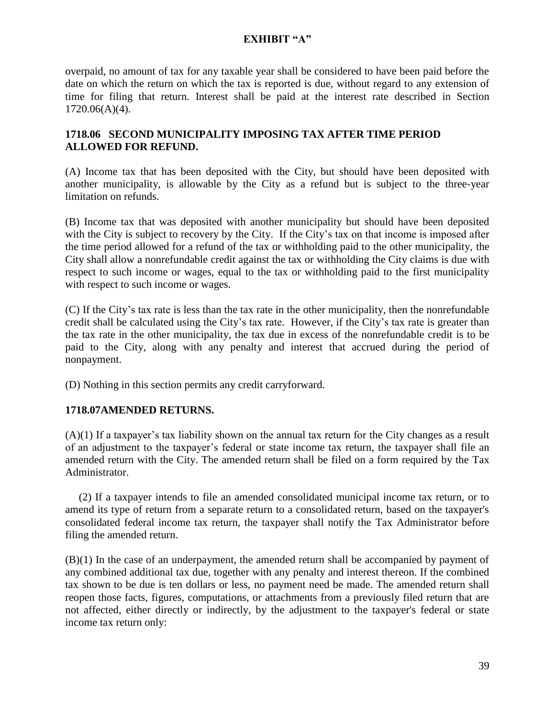overpaid, no amount of tax for any taxable year shall be considered to have been paid before the date on which the return on which the tax is reported is due, without regard to any extension of time for filing that return. Interest shall be paid at the interest rate described in Section 1720.06(A)(4).

# **1718.06 SECOND MUNICIPALITY IMPOSING TAX AFTER TIME PERIOD ALLOWED FOR REFUND.**

(A) Income tax that has been deposited with the City, but should have been deposited with another municipality, is allowable by the City as a refund but is subject to the three-year limitation on refunds.

(B) Income tax that was deposited with another municipality but should have been deposited with the City is subject to recovery by the City. If the City's tax on that income is imposed after the time period allowed for a refund of the tax or withholding paid to the other municipality, the City shall allow a nonrefundable credit against the tax or withholding the City claims is due with respect to such income or wages, equal to the tax or withholding paid to the first municipality with respect to such income or wages.

(C) If the City's tax rate is less than the tax rate in the other municipality, then the nonrefundable credit shall be calculated using the City's tax rate. However, if the City's tax rate is greater than the tax rate in the other municipality, the tax due in excess of the nonrefundable credit is to be paid to the City, along with any penalty and interest that accrued during the period of nonpayment.

(D) Nothing in this section permits any credit carryforward.

## **1718.07AMENDED RETURNS.**

(A)(1) If a taxpayer's tax liability shown on the annual tax return for the City changes as a result of an adjustment to the taxpayer's federal or state income tax return, the taxpayer shall file an amended return with the City. The amended return shall be filed on a form required by the Tax Administrator.

 (2) If a taxpayer intends to file an amended consolidated municipal income tax return, or to amend its type of return from a separate return to a consolidated return, based on the taxpayer's consolidated federal income tax return, the taxpayer shall notify the Tax Administrator before filing the amended return.

(B)(1) In the case of an underpayment, the amended return shall be accompanied by payment of any combined additional tax due, together with any penalty and interest thereon. If the combined tax shown to be due is ten dollars or less, no payment need be made. The amended return shall reopen those facts, figures, computations, or attachments from a previously filed return that are not affected, either directly or indirectly, by the adjustment to the taxpayer's federal or state income tax return only: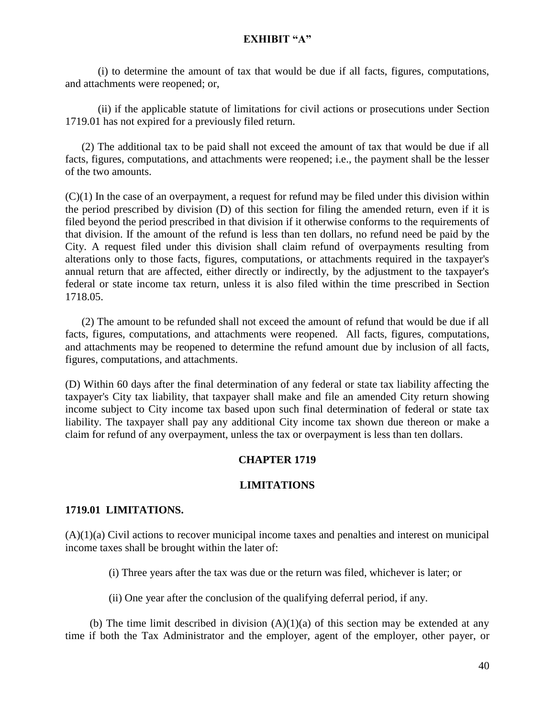(i) to determine the amount of tax that would be due if all facts, figures, computations, and attachments were reopened; or,

(ii) if the applicable statute of limitations for civil actions or prosecutions under Section 1719.01 has not expired for a previously filed return.

 (2) The additional tax to be paid shall not exceed the amount of tax that would be due if all facts, figures, computations, and attachments were reopened; i.e., the payment shall be the lesser of the two amounts.

 $(C)(1)$  In the case of an overpayment, a request for refund may be filed under this division within the period prescribed by division (D) of this section for filing the amended return, even if it is filed beyond the period prescribed in that division if it otherwise conforms to the requirements of that division. If the amount of the refund is less than ten dollars, no refund need be paid by the City. A request filed under this division shall claim refund of overpayments resulting from alterations only to those facts, figures, computations, or attachments required in the taxpayer's annual return that are affected, either directly or indirectly, by the adjustment to the taxpayer's federal or state income tax return, unless it is also filed within the time prescribed in Section 1718.05.

(2) The amount to be refunded shall not exceed the amount of refund that would be due if all facts, figures, computations, and attachments were reopened. All facts, figures, computations, and attachments may be reopened to determine the refund amount due by inclusion of all facts, figures, computations, and attachments.

(D) Within 60 days after the final determination of any federal or state tax liability affecting the taxpayer's City tax liability, that taxpayer shall make and file an amended City return showing income subject to City income tax based upon such final determination of federal or state tax liability. The taxpayer shall pay any additional City income tax shown due thereon or make a claim for refund of any overpayment, unless the tax or overpayment is less than ten dollars.

## **CHAPTER 1719**

## **LIMITATIONS**

### **1719.01 LIMITATIONS.**

(A)(1)(a) Civil actions to recover municipal income taxes and penalties and interest on municipal income taxes shall be brought within the later of:

(i) Three years after the tax was due or the return was filed, whichever is later; or

(ii) One year after the conclusion of the qualifying deferral period, if any.

(b) The time limit described in division  $(A)(1)(a)$  of this section may be extended at any time if both the Tax Administrator and the employer, agent of the employer, other payer, or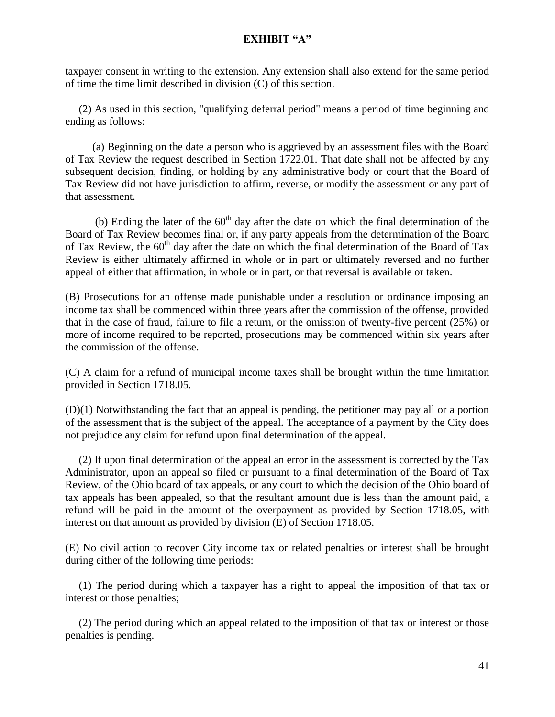taxpayer consent in writing to the extension. Any extension shall also extend for the same period of time the time limit described in division (C) of this section.

 (2) As used in this section, "qualifying deferral period" means a period of time beginning and ending as follows:

 (a) Beginning on the date a person who is aggrieved by an assessment files with the Board of Tax Review the request described in Section 1722.01. That date shall not be affected by any subsequent decision, finding, or holding by any administrative body or court that the Board of Tax Review did not have jurisdiction to affirm, reverse, or modify the assessment or any part of that assessment.

(b) Ending the later of the  $60<sup>th</sup>$  day after the date on which the final determination of the Board of Tax Review becomes final or, if any party appeals from the determination of the Board of Tax Review, the  $60<sup>th</sup>$  day after the date on which the final determination of the Board of Tax Review is either ultimately affirmed in whole or in part or ultimately reversed and no further appeal of either that affirmation, in whole or in part, or that reversal is available or taken.

(B) Prosecutions for an offense made punishable under a resolution or ordinance imposing an income tax shall be commenced within three years after the commission of the offense, provided that in the case of fraud, failure to file a return, or the omission of twenty-five percent (25%) or more of income required to be reported, prosecutions may be commenced within six years after the commission of the offense.

(C) A claim for a refund of municipal income taxes shall be brought within the time limitation provided in Section 1718.05.

(D)(1) Notwithstanding the fact that an appeal is pending, the petitioner may pay all or a portion of the assessment that is the subject of the appeal. The acceptance of a payment by the City does not prejudice any claim for refund upon final determination of the appeal.

 (2) If upon final determination of the appeal an error in the assessment is corrected by the Tax Administrator, upon an appeal so filed or pursuant to a final determination of the Board of Tax Review, of the Ohio board of tax appeals, or any court to which the decision of the Ohio board of tax appeals has been appealed, so that the resultant amount due is less than the amount paid, a refund will be paid in the amount of the overpayment as provided by Section 1718.05, with interest on that amount as provided by division (E) of Section 1718.05.

(E) No civil action to recover City income tax or related penalties or interest shall be brought during either of the following time periods:

 (1) The period during which a taxpayer has a right to appeal the imposition of that tax or interest or those penalties;

 (2) The period during which an appeal related to the imposition of that tax or interest or those penalties is pending.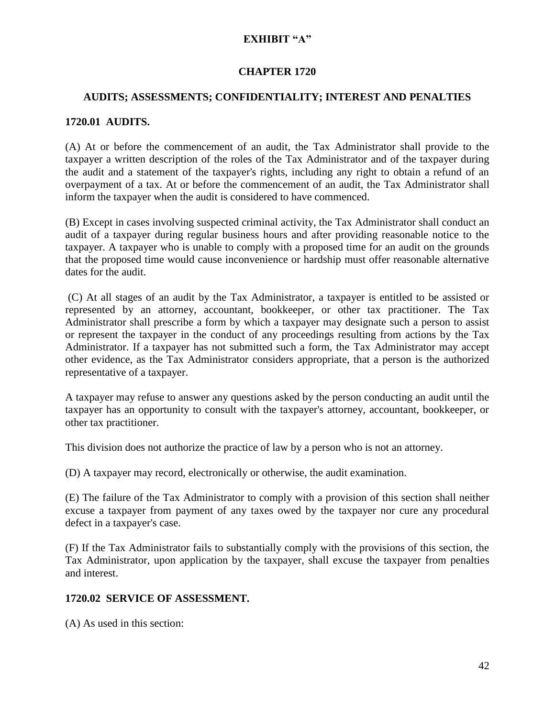### **CHAPTER 1720**

### **AUDITS; ASSESSMENTS; CONFIDENTIALITY; INTEREST AND PENALTIES**

### **1720.01 AUDITS.**

(A) At or before the commencement of an audit, the Tax Administrator shall provide to the taxpayer a written description of the roles of the Tax Administrator and of the taxpayer during the audit and a statement of the taxpayer's rights, including any right to obtain a refund of an overpayment of a tax. At or before the commencement of an audit, the Tax Administrator shall inform the taxpayer when the audit is considered to have commenced.

(B) Except in cases involving suspected criminal activity, the Tax Administrator shall conduct an audit of a taxpayer during regular business hours and after providing reasonable notice to the taxpayer. A taxpayer who is unable to comply with a proposed time for an audit on the grounds that the proposed time would cause inconvenience or hardship must offer reasonable alternative dates for the audit.

(C) At all stages of an audit by the Tax Administrator, a taxpayer is entitled to be assisted or represented by an attorney, accountant, bookkeeper, or other tax practitioner. The Tax Administrator shall prescribe a form by which a taxpayer may designate such a person to assist or represent the taxpayer in the conduct of any proceedings resulting from actions by the Tax Administrator. If a taxpayer has not submitted such a form, the Tax Administrator may accept other evidence, as the Tax Administrator considers appropriate, that a person is the authorized representative of a taxpayer.

A taxpayer may refuse to answer any questions asked by the person conducting an audit until the taxpayer has an opportunity to consult with the taxpayer's attorney, accountant, bookkeeper, or other tax practitioner.

This division does not authorize the practice of law by a person who is not an attorney.

(D) A taxpayer may record, electronically or otherwise, the audit examination.

(E) The failure of the Tax Administrator to comply with a provision of this section shall neither excuse a taxpayer from payment of any taxes owed by the taxpayer nor cure any procedural defect in a taxpayer's case.

(F) If the Tax Administrator fails to substantially comply with the provisions of this section, the Tax Administrator, upon application by the taxpayer, shall excuse the taxpayer from penalties and interest.

### **1720.02 SERVICE OF ASSESSMENT.**

(A) As used in this section: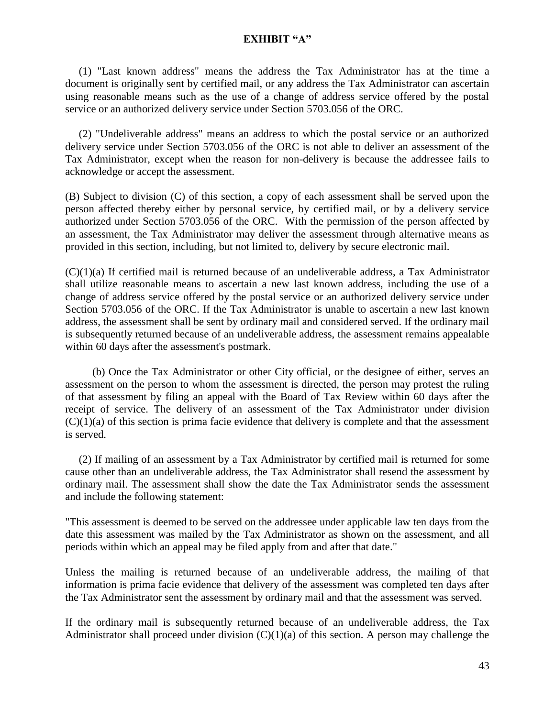(1) "Last known address" means the address the Tax Administrator has at the time a document is originally sent by certified mail, or any address the Tax Administrator can ascertain using reasonable means such as the use of a change of address service offered by the postal service or an authorized delivery service under Section [5703.056](http://codes.ohio.gov/orc/5703.056) of the ORC.

 (2) "Undeliverable address" means an address to which the postal service or an authorized delivery service under Section [5703.056](http://codes.ohio.gov/orc/5703.056) of the ORC is not able to deliver an assessment of the Tax Administrator, except when the reason for non-delivery is because the addressee fails to acknowledge or accept the assessment.

(B) Subject to division (C) of this section, a copy of each assessment shall be served upon the person affected thereby either by personal service, by certified mail, or by a delivery service authorized under Section [5703.056](http://codes.ohio.gov/orc/5703.056) of the ORC. With the permission of the person affected by an assessment, the Tax Administrator may deliver the assessment through alternative means as provided in this section, including, but not limited to, delivery by secure electronic mail.

 $(C)(1)(a)$  If certified mail is returned because of an undeliverable address, a Tax Administrator shall utilize reasonable means to ascertain a new last known address, including the use of a change of address service offered by the postal service or an authorized delivery service under Section [5703.056](http://codes.ohio.gov/orc/5703.056) of the ORC. If the Tax Administrator is unable to ascertain a new last known address, the assessment shall be sent by ordinary mail and considered served. If the ordinary mail is subsequently returned because of an undeliverable address, the assessment remains appealable within 60 days after the assessment's postmark.

 (b) Once the Tax Administrator or other City official, or the designee of either, serves an assessment on the person to whom the assessment is directed, the person may protest the ruling of that assessment by filing an appeal with the Board of Tax Review within 60 days after the receipt of service. The delivery of an assessment of the Tax Administrator under division  $(C)(1)(a)$  of this section is prima facie evidence that delivery is complete and that the assessment is served.

 (2) If mailing of an assessment by a Tax Administrator by certified mail is returned for some cause other than an undeliverable address, the Tax Administrator shall resend the assessment by ordinary mail. The assessment shall show the date the Tax Administrator sends the assessment and include the following statement:

"This assessment is deemed to be served on the addressee under applicable law ten days from the date this assessment was mailed by the Tax Administrator as shown on the assessment, and all periods within which an appeal may be filed apply from and after that date."

Unless the mailing is returned because of an undeliverable address, the mailing of that information is prima facie evidence that delivery of the assessment was completed ten days after the Tax Administrator sent the assessment by ordinary mail and that the assessment was served.

If the ordinary mail is subsequently returned because of an undeliverable address, the Tax Administrator shall proceed under division  $(C)(1)(a)$  of this section. A person may challenge the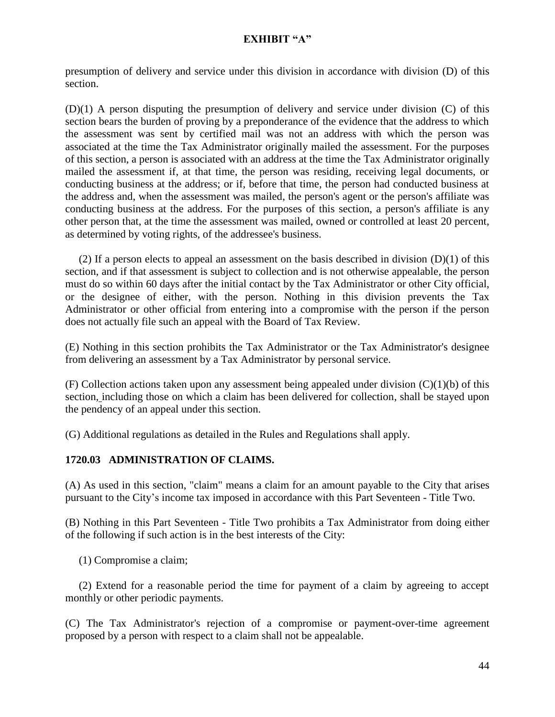presumption of delivery and service under this division in accordance with division (D) of this section.

(D)(1) A person disputing the presumption of delivery and service under division (C) of this section bears the burden of proving by a preponderance of the evidence that the address to which the assessment was sent by certified mail was not an address with which the person was associated at the time the Tax Administrator originally mailed the assessment. For the purposes of this section, a person is associated with an address at the time the Tax Administrator originally mailed the assessment if, at that time, the person was residing, receiving legal documents, or conducting business at the address; or if, before that time, the person had conducted business at the address and, when the assessment was mailed, the person's agent or the person's affiliate was conducting business at the address. For the purposes of this section, a person's affiliate is any other person that, at the time the assessment was mailed, owned or controlled at least 20 percent, as determined by voting rights, of the addressee's business.

(2) If a person elects to appeal an assessment on the basis described in division  $(D)(1)$  of this section, and if that assessment is subject to collection and is not otherwise appealable, the person must do so within 60 days after the initial contact by the Tax Administrator or other City official, or the designee of either, with the person. Nothing in this division prevents the Tax Administrator or other official from entering into a compromise with the person if the person does not actually file such an appeal with the Board of Tax Review.

(E) Nothing in this section prohibits the Tax Administrator or the Tax Administrator's designee from delivering an assessment by a Tax Administrator by personal service.

(F) Collection actions taken upon any assessment being appealed under division  $(C)(1)(b)$  of this section, including those on which a claim has been delivered for collection, shall be stayed upon the pendency of an appeal under this section.

(G) Additional regulations as detailed in the Rules and Regulations shall apply.

## **1720.03 ADMINISTRATION OF CLAIMS.**

(A) As used in this section, "claim" means a claim for an amount payable to the City that arises pursuant to the City's income tax imposed in accordance with this Part Seventeen - Title Two.

(B) Nothing in this Part Seventeen - Title Two prohibits a Tax Administrator from doing either of the following if such action is in the best interests of the City:

(1) Compromise a claim;

 (2) Extend for a reasonable period the time for payment of a claim by agreeing to accept monthly or other periodic payments.

(C) The Tax Administrator's rejection of a compromise or payment-over-time agreement proposed by a person with respect to a claim shall not be appealable.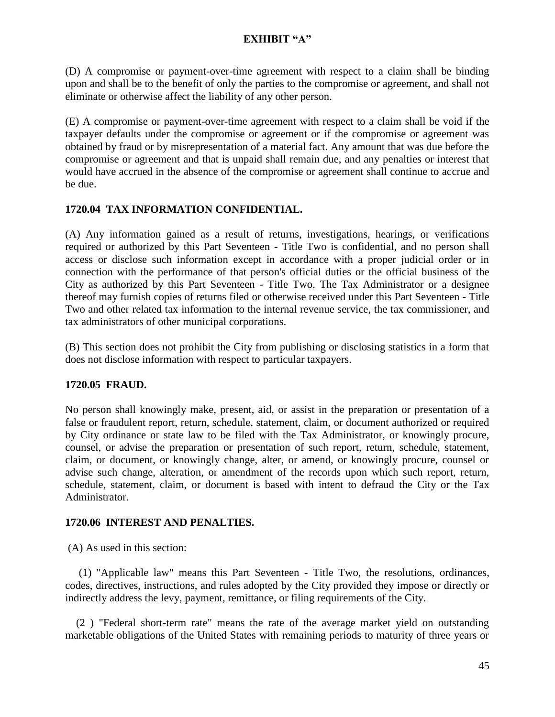(D) A compromise or payment-over-time agreement with respect to a claim shall be binding upon and shall be to the benefit of only the parties to the compromise or agreement, and shall not eliminate or otherwise affect the liability of any other person.

(E) A compromise or payment-over-time agreement with respect to a claim shall be void if the taxpayer defaults under the compromise or agreement or if the compromise or agreement was obtained by fraud or by misrepresentation of a material fact. Any amount that was due before the compromise or agreement and that is unpaid shall remain due, and any penalties or interest that would have accrued in the absence of the compromise or agreement shall continue to accrue and be due.

## **1720.04 TAX INFORMATION CONFIDENTIAL.**

(A) Any information gained as a result of returns, investigations, hearings, or verifications required or authorized by this Part Seventeen - Title Two is confidential, and no person shall access or disclose such information except in accordance with a proper judicial order or in connection with the performance of that person's official duties or the official business of the City as authorized by this Part Seventeen - Title Two. The Tax Administrator or a designee thereof may furnish copies of returns filed or otherwise received under this Part Seventeen - Title Two and other related tax information to the internal revenue service, the tax commissioner, and tax administrators of other municipal corporations.

(B) This section does not prohibit the City from publishing or disclosing statistics in a form that does not disclose information with respect to particular taxpayers.

## **1720.05 FRAUD.**

No person shall knowingly make, present, aid, or assist in the preparation or presentation of a false or fraudulent report, return, schedule, statement, claim, or document authorized or required by City ordinance or state law to be filed with the Tax Administrator, or knowingly procure, counsel, or advise the preparation or presentation of such report, return, schedule, statement, claim, or document, or knowingly change, alter, or amend, or knowingly procure, counsel or advise such change, alteration, or amendment of the records upon which such report, return, schedule, statement, claim, or document is based with intent to defraud the City or the Tax Administrator.

## **1720.06 INTEREST AND PENALTIES.**

(A) As used in this section:

 (1) "Applicable law" means this Part Seventeen - Title Two, the resolutions, ordinances, codes, directives, instructions, and rules adopted by the City provided they impose or directly or indirectly address the levy, payment, remittance, or filing requirements of the City.

 (2 ) "Federal short-term rate" means the rate of the average market yield on outstanding marketable obligations of the United States with remaining periods to maturity of three years or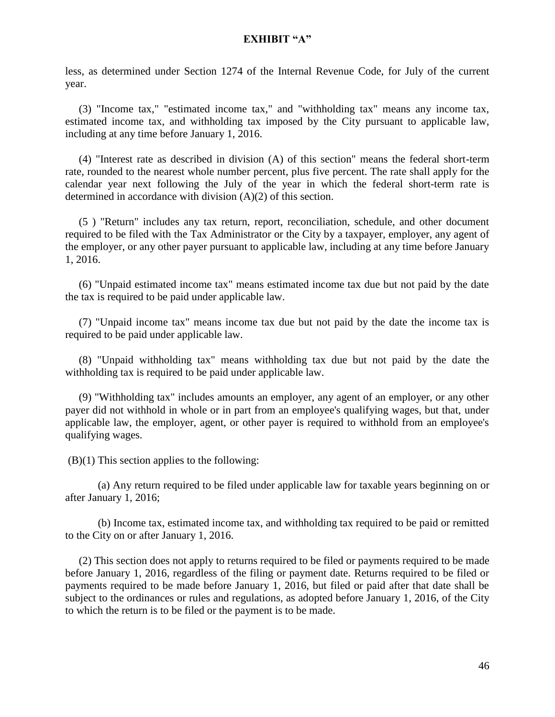less, as determined under Section 1274 of the Internal Revenue Code, for July of the current year.

 (3) "Income tax," "estimated income tax," and "withholding tax" means any income tax, estimated income tax, and withholding tax imposed by the City pursuant to applicable law, including at any time before January 1, 2016.

 (4) "Interest rate as described in division (A) of this section" means the federal short-term rate, rounded to the nearest whole number percent, plus five percent. The rate shall apply for the calendar year next following the July of the year in which the federal short-term rate is determined in accordance with division (A)(2) of this section.

 (5 ) "Return" includes any tax return, report, reconciliation, schedule, and other document required to be filed with the Tax Administrator or the City by a taxpayer, employer, any agent of the employer, or any other payer pursuant to applicable law, including at any time before January 1, 2016.

 (6) "Unpaid estimated income tax" means estimated income tax due but not paid by the date the tax is required to be paid under applicable law.

 (7) "Unpaid income tax" means income tax due but not paid by the date the income tax is required to be paid under applicable law.

 (8) "Unpaid withholding tax" means withholding tax due but not paid by the date the withholding tax is required to be paid under applicable law.

 (9) "Withholding tax" includes amounts an employer, any agent of an employer, or any other payer did not withhold in whole or in part from an employee's qualifying wages, but that, under applicable law, the employer, agent, or other payer is required to withhold from an employee's qualifying wages.

(B)(1) This section applies to the following:

(a) Any return required to be filed under applicable law for taxable years beginning on or after January 1, 2016;

(b) Income tax, estimated income tax, and withholding tax required to be paid or remitted to the City on or after January 1, 2016.

 (2) This section does not apply to returns required to be filed or payments required to be made before January 1, 2016, regardless of the filing or payment date. Returns required to be filed or payments required to be made before January 1, 2016, but filed or paid after that date shall be subject to the ordinances or rules and regulations, as adopted before January 1, 2016, of the City to which the return is to be filed or the payment is to be made.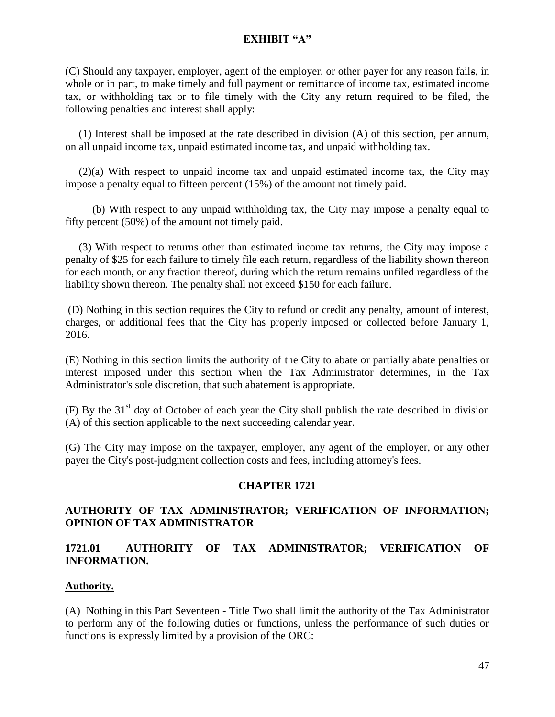(C) Should any taxpayer, employer, agent of the employer, or other payer for any reason fails, in whole or in part, to make timely and full payment or remittance of income tax, estimated income tax, or withholding tax or to file timely with the City any return required to be filed, the following penalties and interest shall apply:

 (1) Interest shall be imposed at the rate described in division (A) of this section, per annum, on all unpaid income tax, unpaid estimated income tax, and unpaid withholding tax.

 (2)(a) With respect to unpaid income tax and unpaid estimated income tax, the City may impose a penalty equal to fifteen percent (15%) of the amount not timely paid.

 (b) With respect to any unpaid withholding tax, the City may impose a penalty equal to fifty percent (50%) of the amount not timely paid.

 (3) With respect to returns other than estimated income tax returns, the City may impose a penalty of \$25 for each failure to timely file each return, regardless of the liability shown thereon for each month, or any fraction thereof, during which the return remains unfiled regardless of the liability shown thereon. The penalty shall not exceed \$150 for each failure.

(D) Nothing in this section requires the City to refund or credit any penalty, amount of interest, charges, or additional fees that the City has properly imposed or collected before January 1, 2016.

(E) Nothing in this section limits the authority of the City to abate or partially abate penalties or interest imposed under this section when the Tax Administrator determines, in the Tax Administrator's sole discretion, that such abatement is appropriate.

(F) By the  $31<sup>st</sup>$  day of October of each year the City shall publish the rate described in division (A) of this section applicable to the next succeeding calendar year.

(G) The City may impose on the taxpayer, employer, any agent of the employer, or any other payer the City's post-judgment collection costs and fees, including attorney's fees.

## **CHAPTER 1721**

## **AUTHORITY OF TAX ADMINISTRATOR; VERIFICATION OF INFORMATION; OPINION OF TAX ADMINISTRATOR**

## **1721.01 AUTHORITY OF TAX ADMINISTRATOR; VERIFICATION OF INFORMATION.**

### **Authority.**

(A) Nothing in this Part Seventeen - Title Two shall limit the authority of the Tax Administrator to perform any of the following duties or functions, unless the performance of such duties or functions is expressly limited by a provision of the ORC: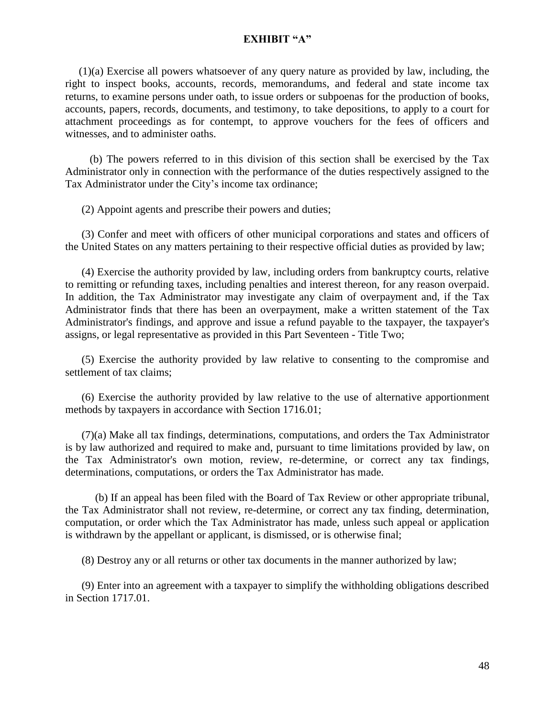(1)(a) Exercise all powers whatsoever of any query nature as provided by law, including, the right to inspect books, accounts, records, memorandums, and federal and state income tax returns, to examine persons under oath, to issue orders or subpoenas for the production of books, accounts, papers, records, documents, and testimony, to take depositions, to apply to a court for attachment proceedings as for contempt, to approve vouchers for the fees of officers and witnesses, and to administer oaths.

 (b) The powers referred to in this division of this section shall be exercised by the Tax Administrator only in connection with the performance of the duties respectively assigned to the Tax Administrator under the City's income tax ordinance;

(2) Appoint agents and prescribe their powers and duties;

 (3) Confer and meet with officers of other municipal corporations and states and officers of the United States on any matters pertaining to their respective official duties as provided by law;

 (4) Exercise the authority provided by law, including orders from bankruptcy courts, relative to remitting or refunding taxes, including penalties and interest thereon, for any reason overpaid. In addition, the Tax Administrator may investigate any claim of overpayment and, if the Tax Administrator finds that there has been an overpayment, make a written statement of the Tax Administrator's findings, and approve and issue a refund payable to the taxpayer, the taxpayer's assigns, or legal representative as provided in this Part Seventeen - Title Two;

 (5) Exercise the authority provided by law relative to consenting to the compromise and settlement of tax claims;

 (6) Exercise the authority provided by law relative to the use of alternative apportionment methods by taxpayers in accordance with Section 1716.01;

 (7)(a) Make all tax findings, determinations, computations, and orders the Tax Administrator is by law authorized and required to make and, pursuant to time limitations provided by law, on the Tax Administrator's own motion, review, re-determine, or correct any tax findings, determinations, computations, or orders the Tax Administrator has made.

 (b) If an appeal has been filed with the Board of Tax Review or other appropriate tribunal, the Tax Administrator shall not review, re-determine, or correct any tax finding, determination, computation, or order which the Tax Administrator has made, unless such appeal or application is withdrawn by the appellant or applicant, is dismissed, or is otherwise final;

(8) Destroy any or all returns or other tax documents in the manner authorized by law;

 (9) Enter into an agreement with a taxpayer to simplify the withholding obligations described in Section 1717.01.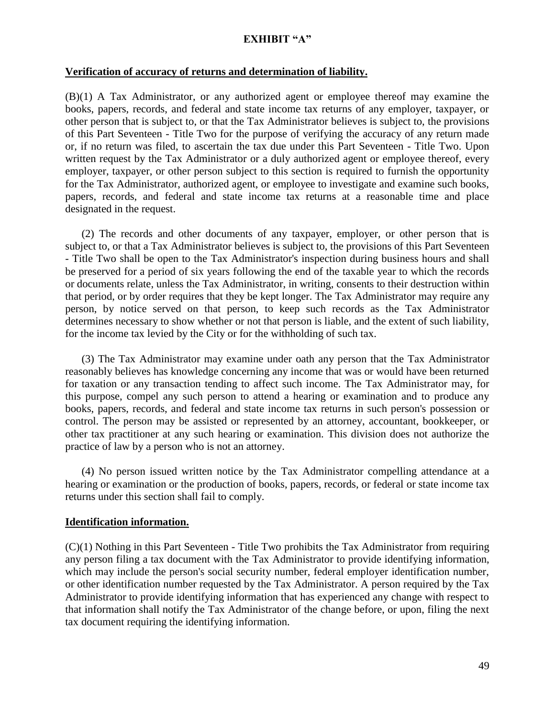#### **Verification of accuracy of returns and determination of liability.**

(B)(1) A Tax Administrator, or any authorized agent or employee thereof may examine the books, papers, records, and federal and state income tax returns of any employer, taxpayer, or other person that is subject to, or that the Tax Administrator believes is subject to, the provisions of this Part Seventeen - Title Two for the purpose of verifying the accuracy of any return made or, if no return was filed, to ascertain the tax due under this Part Seventeen - Title Two. Upon written request by the Tax Administrator or a duly authorized agent or employee thereof, every employer, taxpayer, or other person subject to this section is required to furnish the opportunity for the Tax Administrator, authorized agent, or employee to investigate and examine such books, papers, records, and federal and state income tax returns at a reasonable time and place designated in the request.

 (2) The records and other documents of any taxpayer, employer, or other person that is subject to, or that a Tax Administrator believes is subject to, the provisions of this Part Seventeen - Title Two shall be open to the Tax Administrator's inspection during business hours and shall be preserved for a period of six years following the end of the taxable year to which the records or documents relate, unless the Tax Administrator, in writing, consents to their destruction within that period, or by order requires that they be kept longer. The Tax Administrator may require any person, by notice served on that person, to keep such records as the Tax Administrator determines necessary to show whether or not that person is liable, and the extent of such liability, for the income tax levied by the City or for the withholding of such tax.

 (3) The Tax Administrator may examine under oath any person that the Tax Administrator reasonably believes has knowledge concerning any income that was or would have been returned for taxation or any transaction tending to affect such income. The Tax Administrator may, for this purpose, compel any such person to attend a hearing or examination and to produce any books, papers, records, and federal and state income tax returns in such person's possession or control. The person may be assisted or represented by an attorney, accountant, bookkeeper, or other tax practitioner at any such hearing or examination. This division does not authorize the practice of law by a person who is not an attorney.

 (4) No person issued written notice by the Tax Administrator compelling attendance at a hearing or examination or the production of books, papers, records, or federal or state income tax returns under this section shall fail to comply.

#### **Identification information.**

(C)(1) Nothing in this Part Seventeen - Title Two prohibits the Tax Administrator from requiring any person filing a tax document with the Tax Administrator to provide identifying information, which may include the person's social security number, federal employer identification number, or other identification number requested by the Tax Administrator. A person required by the Tax Administrator to provide identifying information that has experienced any change with respect to that information shall notify the Tax Administrator of the change before, or upon, filing the next tax document requiring the identifying information.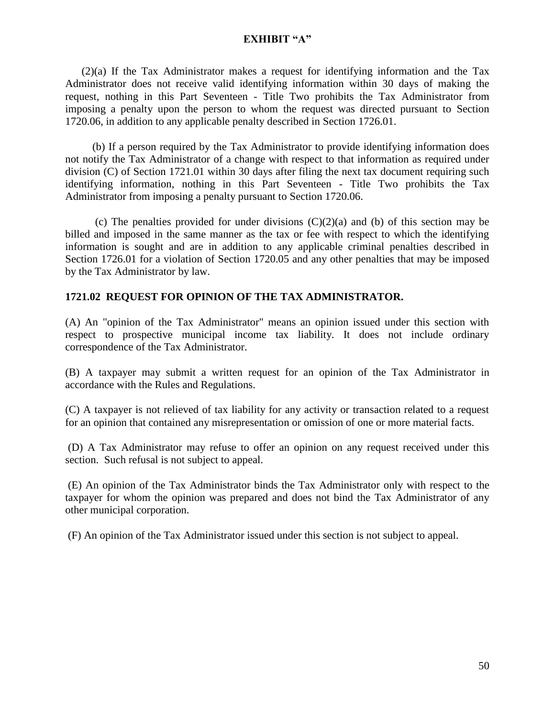(2)(a) If the Tax Administrator makes a request for identifying information and the Tax Administrator does not receive valid identifying information within 30 days of making the request, nothing in this Part Seventeen - Title Two prohibits the Tax Administrator from imposing a penalty upon the person to whom the request was directed pursuant to Section 1720.06, in addition to any applicable penalty described in Section 1726.01.

 (b) If a person required by the Tax Administrator to provide identifying information does not notify the Tax Administrator of a change with respect to that information as required under division (C) of Section 1721.01 within 30 days after filing the next tax document requiring such identifying information, nothing in this Part Seventeen - Title Two prohibits the Tax Administrator from imposing a penalty pursuant to Section 1720.06.

(c) The penalties provided for under divisions  $(C)(2)(a)$  and (b) of this section may be billed and imposed in the same manner as the tax or fee with respect to which the identifying information is sought and are in addition to any applicable criminal penalties described in Section 1726.01 for a violation of Section 1720.05 and any other penalties that may be imposed by the Tax Administrator by law.

## **1721.02 REQUEST FOR OPINION OF THE TAX ADMINISTRATOR.**

(A) An "opinion of the Tax Administrator" means an opinion issued under this section with respect to prospective municipal income tax liability. It does not include ordinary correspondence of the Tax Administrator.

(B) A taxpayer may submit a written request for an opinion of the Tax Administrator in accordance with the Rules and Regulations.

(C) A taxpayer is not relieved of tax liability for any activity or transaction related to a request for an opinion that contained any misrepresentation or omission of one or more material facts.

(D) A Tax Administrator may refuse to offer an opinion on any request received under this section. Such refusal is not subject to appeal.

(E) An opinion of the Tax Administrator binds the Tax Administrator only with respect to the taxpayer for whom the opinion was prepared and does not bind the Tax Administrator of any other municipal corporation.

(F) An opinion of the Tax Administrator issued under this section is not subject to appeal.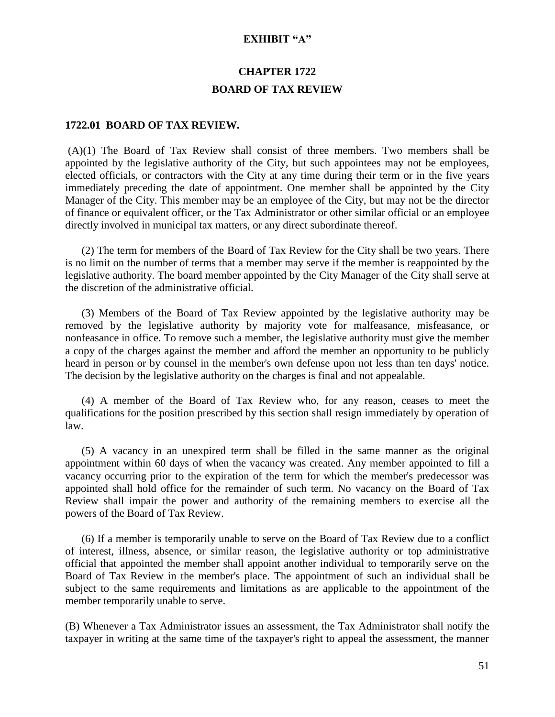# **CHAPTER 1722 BOARD OF TAX REVIEW**

#### **1722.01 BOARD OF TAX REVIEW.**

(A)(1) The Board of Tax Review shall consist of three members. Two members shall be appointed by the legislative authority of the City, but such appointees may not be employees, elected officials, or contractors with the City at any time during their term or in the five years immediately preceding the date of appointment. One member shall be appointed by the City Manager of the City. This member may be an employee of the City, but may not be the director of finance or equivalent officer, or the Tax Administrator or other similar official or an employee directly involved in municipal tax matters, or any direct subordinate thereof.

 (2) The term for members of the Board of Tax Review for the City shall be two years. There is no limit on the number of terms that a member may serve if the member is reappointed by the legislative authority. The board member appointed by the City Manager of the City shall serve at the discretion of the administrative official.

 (3) Members of the Board of Tax Review appointed by the legislative authority may be removed by the legislative authority by majority vote for malfeasance, misfeasance, or nonfeasance in office. To remove such a member, the legislative authority must give the member a copy of the charges against the member and afford the member an opportunity to be publicly heard in person or by counsel in the member's own defense upon not less than ten days' notice. The decision by the legislative authority on the charges is final and not appealable.

 (4) A member of the Board of Tax Review who, for any reason, ceases to meet the qualifications for the position prescribed by this section shall resign immediately by operation of law.

 (5) A vacancy in an unexpired term shall be filled in the same manner as the original appointment within 60 days of when the vacancy was created. Any member appointed to fill a vacancy occurring prior to the expiration of the term for which the member's predecessor was appointed shall hold office for the remainder of such term. No vacancy on the Board of Tax Review shall impair the power and authority of the remaining members to exercise all the powers of the Board of Tax Review.

 (6) If a member is temporarily unable to serve on the Board of Tax Review due to a conflict of interest, illness, absence, or similar reason, the legislative authority or top administrative official that appointed the member shall appoint another individual to temporarily serve on the Board of Tax Review in the member's place. The appointment of such an individual shall be subject to the same requirements and limitations as are applicable to the appointment of the member temporarily unable to serve.

(B) Whenever a Tax Administrator issues an assessment, the Tax Administrator shall notify the taxpayer in writing at the same time of the taxpayer's right to appeal the assessment, the manner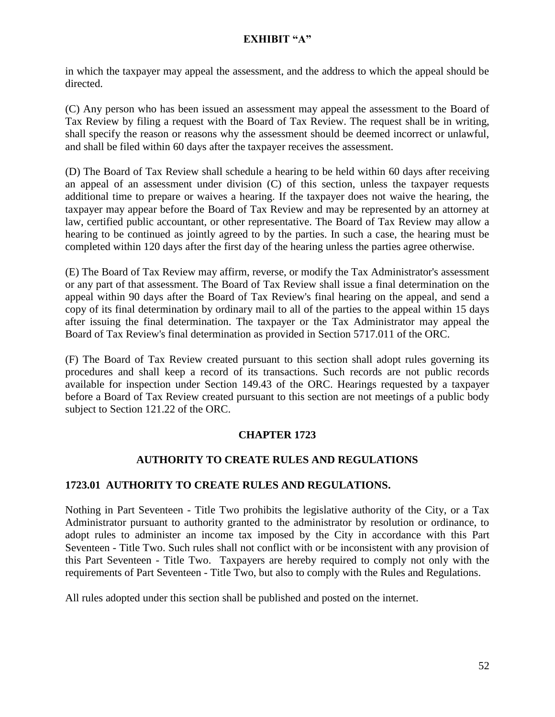in which the taxpayer may appeal the assessment, and the address to which the appeal should be directed.

(C) Any person who has been issued an assessment may appeal the assessment to the Board of Tax Review by filing a request with the Board of Tax Review. The request shall be in writing, shall specify the reason or reasons why the assessment should be deemed incorrect or unlawful, and shall be filed within 60 days after the taxpayer receives the assessment.

(D) The Board of Tax Review shall schedule a hearing to be held within 60 days after receiving an appeal of an assessment under division (C) of this section, unless the taxpayer requests additional time to prepare or waives a hearing. If the taxpayer does not waive the hearing, the taxpayer may appear before the Board of Tax Review and may be represented by an attorney at law, certified public accountant, or other representative. The Board of Tax Review may allow a hearing to be continued as jointly agreed to by the parties. In such a case, the hearing must be completed within 120 days after the first day of the hearing unless the parties agree otherwise.

(E) The Board of Tax Review may affirm, reverse, or modify the Tax Administrator's assessment or any part of that assessment. The Board of Tax Review shall issue a final determination on the appeal within 90 days after the Board of Tax Review's final hearing on the appeal, and send a copy of its final determination by ordinary mail to all of the parties to the appeal within 15 days after issuing the final determination. The taxpayer or the Tax Administrator may appeal the Board of Tax Review's final determination as provided in Section [5717.011](http://codes.ohio.gov/orc/5717.011) of the ORC.

(F) The Board of Tax Review created pursuant to this section shall adopt rules governing its procedures and shall keep a record of its transactions. Such records are not public records available for inspection under Section [149.43](http://codes.ohio.gov/orc/149.43) of the ORC. Hearings requested by a taxpayer before a Board of Tax Review created pursuant to this section are not meetings of a public body subject to Section [121.22](http://codes.ohio.gov/orc/121.22) of the ORC.

# **CHAPTER 1723**

## **AUTHORITY TO CREATE RULES AND REGULATIONS**

## **1723.01 AUTHORITY TO CREATE RULES AND REGULATIONS.**

Nothing in Part Seventeen - Title Two prohibits the legislative authority of the City, or a Tax Administrator pursuant to authority granted to the administrator by resolution or ordinance, to adopt rules to administer an income tax imposed by the City in accordance with this Part Seventeen - Title Two. Such rules shall not conflict with or be inconsistent with any provision of this Part Seventeen - Title Two. Taxpayers are hereby required to comply not only with the requirements of Part Seventeen - Title Two, but also to comply with the Rules and Regulations.

All rules adopted under this section shall be published and posted on the internet.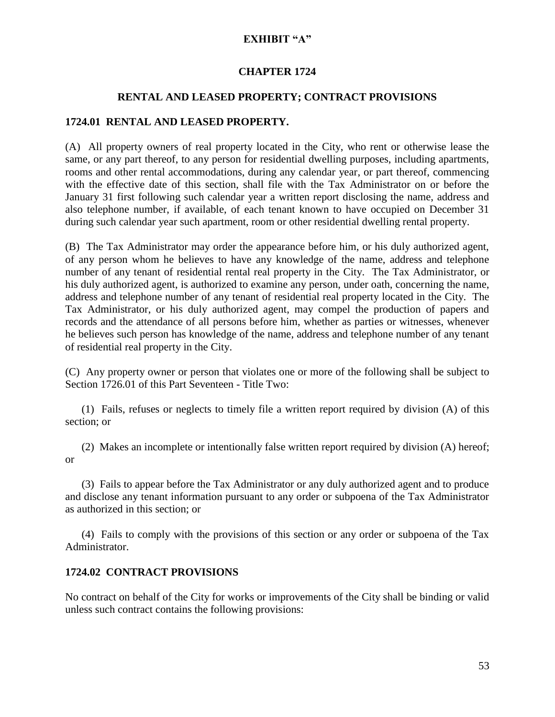### **CHAPTER 1724**

### **RENTAL AND LEASED PROPERTY; CONTRACT PROVISIONS**

### **1724.01 RENTAL AND LEASED PROPERTY.**

(A) All property owners of real property located in the City, who rent or otherwise lease the same, or any part thereof, to any person for residential dwelling purposes, including apartments, rooms and other rental accommodations, during any calendar year, or part thereof, commencing with the effective date of this section, shall file with the Tax Administrator on or before the January 31 first following such calendar year a written report disclosing the name, address and also telephone number, if available, of each tenant known to have occupied on December 31 during such calendar year such apartment, room or other residential dwelling rental property.

(B) The Tax Administrator may order the appearance before him, or his duly authorized agent, of any person whom he believes to have any knowledge of the name, address and telephone number of any tenant of residential rental real property in the City. The Tax Administrator, or his duly authorized agent, is authorized to examine any person, under oath, concerning the name, address and telephone number of any tenant of residential real property located in the City. The Tax Administrator, or his duly authorized agent, may compel the production of papers and records and the attendance of all persons before him, whether as parties or witnesses, whenever he believes such person has knowledge of the name, address and telephone number of any tenant of residential real property in the City.

(C) Any property owner or person that violates one or more of the following shall be subject to Section 1726.01 of this Part Seventeen - Title Two:

 (1) Fails, refuses or neglects to timely file a written report required by division (A) of this section; or

 (2) Makes an incomplete or intentionally false written report required by division (A) hereof; or

 (3) Fails to appear before the Tax Administrator or any duly authorized agent and to produce and disclose any tenant information pursuant to any order or subpoena of the Tax Administrator as authorized in this section; or

 (4) Fails to comply with the provisions of this section or any order or subpoena of the Tax Administrator.

### **1724.02 CONTRACT PROVISIONS**

No contract on behalf of the City for works or improvements of the City shall be binding or valid unless such contract contains the following provisions: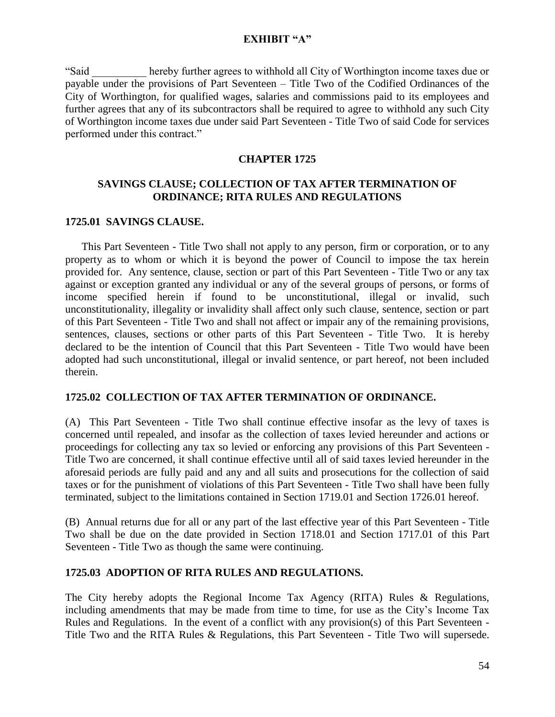"Said \_\_\_\_\_\_\_\_\_\_ hereby further agrees to withhold all City of Worthington income taxes due or payable under the provisions of Part Seventeen – Title Two of the Codified Ordinances of the City of Worthington, for qualified wages, salaries and commissions paid to its employees and further agrees that any of its subcontractors shall be required to agree to withhold any such City of Worthington income taxes due under said Part Seventeen - Title Two of said Code for services performed under this contract."

### **CHAPTER 1725**

### **SAVINGS CLAUSE; COLLECTION OF TAX AFTER TERMINATION OF ORDINANCE; RITA RULES AND REGULATIONS**

### **1725.01 SAVINGS CLAUSE.**

 This Part Seventeen - Title Two shall not apply to any person, firm or corporation, or to any property as to whom or which it is beyond the power of Council to impose the tax herein provided for. Any sentence, clause, section or part of this Part Seventeen - Title Two or any tax against or exception granted any individual or any of the several groups of persons, or forms of income specified herein if found to be unconstitutional, illegal or invalid, such unconstitutionality, illegality or invalidity shall affect only such clause, sentence, section or part of this Part Seventeen - Title Two and shall not affect or impair any of the remaining provisions, sentences, clauses, sections or other parts of this Part Seventeen - Title Two. It is hereby declared to be the intention of Council that this Part Seventeen - Title Two would have been adopted had such unconstitutional, illegal or invalid sentence, or part hereof, not been included therein.

### **1725.02 COLLECTION OF TAX AFTER TERMINATION OF ORDINANCE.**

(A)This Part Seventeen - Title Two shall continue effective insofar as the levy of taxes is concerned until repealed, and insofar as the collection of taxes levied hereunder and actions or proceedings for collecting any tax so levied or enforcing any provisions of this Part Seventeen - Title Two are concerned, it shall continue effective until all of said taxes levied hereunder in the aforesaid periods are fully paid and any and all suits and prosecutions for the collection of said taxes or for the punishment of violations of this Part Seventeen - Title Two shall have been fully terminated, subject to the limitations contained in Section 1719.01 and Section 1726.01 hereof.

(B) Annual returns due for all or any part of the last effective year of this Part Seventeen - Title Two shall be due on the date provided in Section 1718.01 and Section 1717.01 of this Part Seventeen - Title Two as though the same were continuing.

### **1725.03 ADOPTION OF RITA RULES AND REGULATIONS.**

The City hereby adopts the Regional Income Tax Agency (RITA) Rules & Regulations, including amendments that may be made from time to time, for use as the City's Income Tax Rules and Regulations. In the event of a conflict with any provision(s) of this Part Seventeen - Title Two and the RITA Rules & Regulations, this Part Seventeen - Title Two will supersede.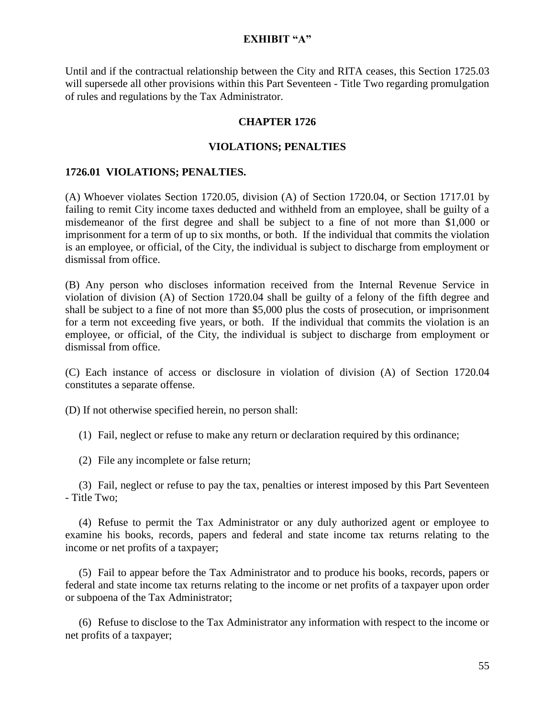Until and if the contractual relationship between the City and RITA ceases, this Section 1725.03 will supersede all other provisions within this Part Seventeen - Title Two regarding promulgation of rules and regulations by the Tax Administrator.

### **CHAPTER 1726**

### **VIOLATIONS; PENALTIES**

### **1726.01 VIOLATIONS; PENALTIES.**

(A) Whoever violates Section 1720.05, division (A) of Section 1720.04, or Section 1717.01 by failing to remit City income taxes deducted and withheld from an employee, shall be guilty of a misdemeanor of the first degree and shall be subject to a fine of not more than \$1,000 or imprisonment for a term of up to six months, or both. If the individual that commits the violation is an employee, or official, of the City, the individual is subject to discharge from employment or dismissal from office.

(B) Any person who discloses information received from the Internal Revenue Service in violation of division (A) of Section 1720.04 shall be guilty of a felony of the fifth degree and shall be subject to a fine of not more than \$5,000 plus the costs of prosecution, or imprisonment for a term not exceeding five years, or both. If the individual that commits the violation is an employee, or official, of the City, the individual is subject to discharge from employment or dismissal from office.

(C) Each instance of access or disclosure in violation of division (A) of Section 1720.04 constitutes a separate offense.

(D) If not otherwise specified herein, no person shall:

(1) Fail, neglect or refuse to make any return or declaration required by this ordinance;

(2) File any incomplete or false return;

 (3) Fail, neglect or refuse to pay the tax, penalties or interest imposed by this Part Seventeen - Title Two;

 (4) Refuse to permit the Tax Administrator or any duly authorized agent or employee to examine his books, records, papers and federal and state income tax returns relating to the income or net profits of a taxpayer;

 (5) Fail to appear before the Tax Administrator and to produce his books, records, papers or federal and state income tax returns relating to the income or net profits of a taxpayer upon order or subpoena of the Tax Administrator;

 (6) Refuse to disclose to the Tax Administrator any information with respect to the income or net profits of a taxpayer;